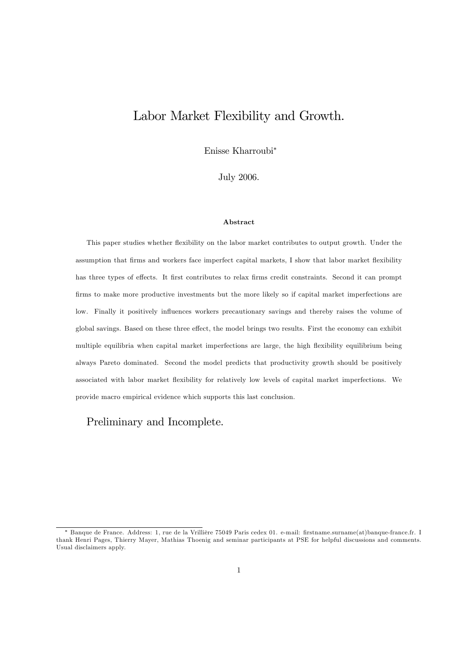# Labor Market Flexibility and Growth.

Enisse Kharroubi

July 2006.

#### Abstract

This paper studies whether flexibility on the labor market contributes to output growth. Under the assumption that firms and workers face imperfect capital markets, I show that labor market flexibility has three types of effects. It first contributes to relax firms credit constraints. Second it can prompt firms to make more productive investments but the more likely so if capital market imperfections are low. Finally it positively influences workers precautionary savings and thereby raises the volume of global savings. Based on these three effect, the model brings two results. First the economy can exhibit multiple equilibria when capital market imperfections are large, the high flexibility equilibrium being always Pareto dominated. Second the model predicts that productivity growth should be positively associated with labor market flexibility for relatively low levels of capital market imperfections. We provide macro empirical evidence which supports this last conclusion.

# Preliminary and Incomplete.

<sup>\*</sup> Banque de France. Address: 1, rue de la Vrillière 75049 Paris cedex 01. e-mail: firstname.surname(at)banque-france.fr. I thank Henri Pages, Thierry Mayer, Mathias Thoenig and seminar participants at PSE for helpful discussions and comments. Usual disclaimers apply.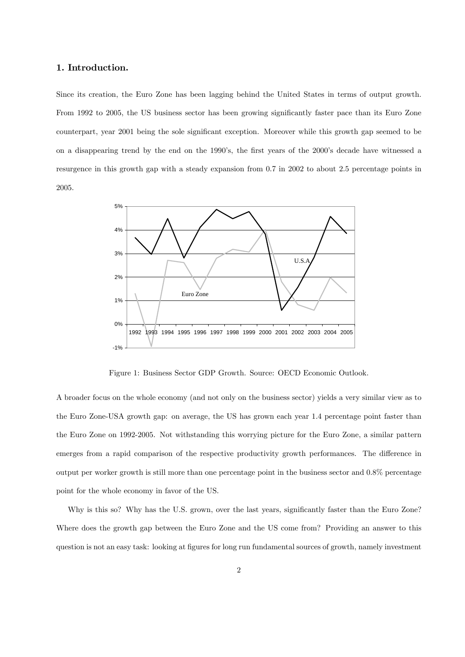# 1. Introduction.

Since its creation, the Euro Zone has been lagging behind the United States in terms of output growth. From 1992 to 2005, the US business sector has been growing significantly faster pace than its Euro Zone counterpart, year 2001 being the sole significant exception. Moreover while this growth gap seemed to be on a disappearing trend by the end on the 1990's, the first years of the 2000's decade have witnessed a resurgence in this growth gap with a steady expansion from 0.7 in 2002 to about 2.5 percentage points in 2005.



Figure 1: Business Sector GDP Growth. Source: OECD Economic Outlook.

A broader focus on the whole economy (and not only on the business sector) yields a very similar view as to the Euro Zone-USA growth gap: on average, the US has grown each year 1.4 percentage point faster than the Euro Zone on 1992-2005. Not withstanding this worrying picture for the Euro Zone, a similar pattern emerges from a rapid comparison of the respective productivity growth performances. The difference in output per worker growth is still more than one percentage point in the business sector and 0.8% percentage point for the whole economy in favor of the US.

Why is this so? Why has the U.S. grown, over the last years, significantly faster than the Euro Zone? Where does the growth gap between the Euro Zone and the US come from? Providing an answer to this question is not an easy task: looking at figures for long run fundamental sources of growth, namely investment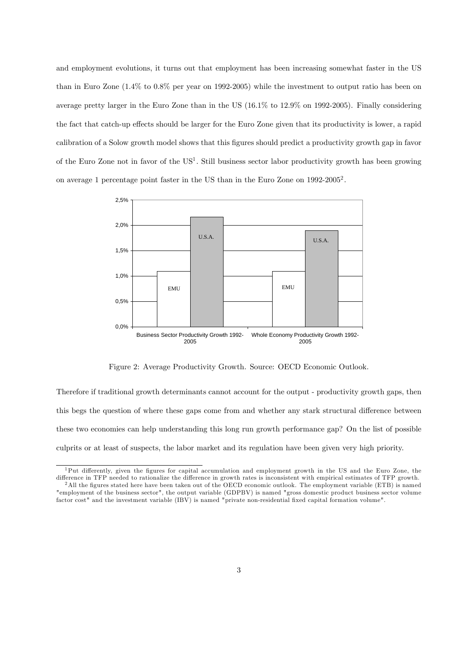and employment evolutions, it turns out that employment has been increasing somewhat faster in the US than in Euro Zone (1.4% to 0.8% per year on 1992-2005) while the investment to output ratio has been on average pretty larger in the Euro Zone than in the US (16.1% to 12.9% on 1992-2005). Finally considering the fact that catch-up effects should be larger for the Euro Zone given that its productivity is lower, a rapid calibration of a Solow growth model shows that this figures should predict a productivity growth gap in favor of the Euro Zone not in favor of the US<sup>1</sup>. Still business sector labor productivity growth has been growing on average 1 percentage point faster in the US than in the Euro Zone on 1992-2005<sup>2</sup>.



Figure 2: Average Productivity Growth. Source: OECD Economic Outlook.

Therefore if traditional growth determinants cannot account for the output - productivity growth gaps, then this begs the question of where these gaps come from and whether any stark structural difference between these two economies can help understanding this long run growth performance gap? On the list of possible culprits or at least of suspects, the labor market and its regulation have been given very high priority.

 $1$ Put differently, given the figures for capital accumulation and employment growth in the US and the Euro Zone, the difference in TFP needed to rationalize the difference in growth rates is inconsistent with empirical estimates of TFP growth.

 $^2$ All the figures stated here have been taken out of the OECD economic outlook. The employment variable (ETB) is named "employment of the business sector", the output variable (GDPBV) is named "gross domestic product business sector volume factor cost" and the investment variable (IBV) is named "private non-residential fixed capital formation volume".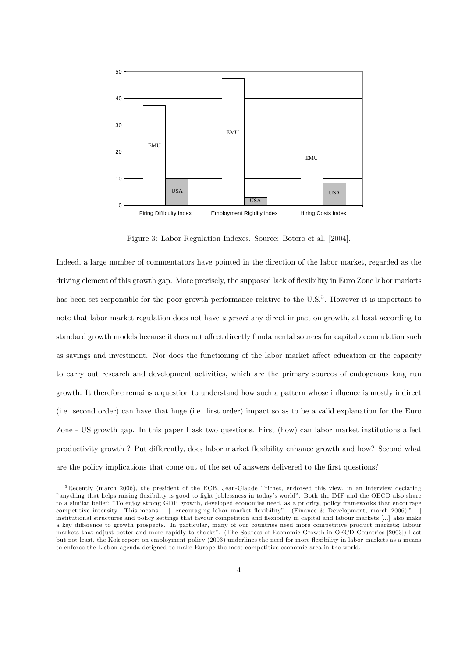

Figure 3: Labor Regulation Indexes. Source: Botero et al. [2004].

Indeed, a large number of commentators have pointed in the direction of the labor market, regarded as the driving element of this growth gap. More precisely, the supposed lack of flexibility in Euro Zone labor markets has been set responsible for the poor growth performance relative to the U.S.<sup>3</sup>. However it is important to note that labor market regulation does not have a priori any direct impact on growth, at least according to standard growth models because it does not affect directly fundamental sources for capital accumulation such as savings and investment. Nor does the functioning of the labor market affect education or the capacity to carry out research and development activities, which are the primary sources of endogenous long run growth. It therefore remains a question to understand how such a pattern whose ináuence is mostly indirect (i.e. second order) can have that huge (i.e. Örst order) impact so as to be a valid explanation for the Euro Zone - US growth gap. In this paper I ask two questions. First (how) can labor market institutions affect productivity growth ? Put differently, does labor market flexibility enhance growth and how? Second what are the policy implications that come out of the set of answers delivered to the first questions?

<sup>3</sup>Recently (march 2006), the president of the ECB, Jean-Claude Trichet, endorsed this view, in an interview declaring "anything that helps raising flexibility is good to fight joblessness in today's world". Both the IMF and the OECD also share to a similar belief: îTo enjoy strong GDP growth, developed economies need, as a priority, policy frameworks that encourage competitive intensity. This means [...] encouraging labor market flexibility". (Finance & Development, march  $2006$ ).<sup>n</sup>[...] institutional structures and policy settings that favour competition and flexibility in capital and labour markets [...] also make a key difference to growth prospects. In particular, many of our countries need more competitive product markets; labour markets that adjust better and more rapidly to shocksî. (The Sources of Economic Growth in OECD Countries [2003]) Last but not least, the Kok report on employment policy (2003) underlines the need for more flexibility in labor markets as a means to enforce the Lisbon agenda designed to make Europe the most competitive economic area in the world.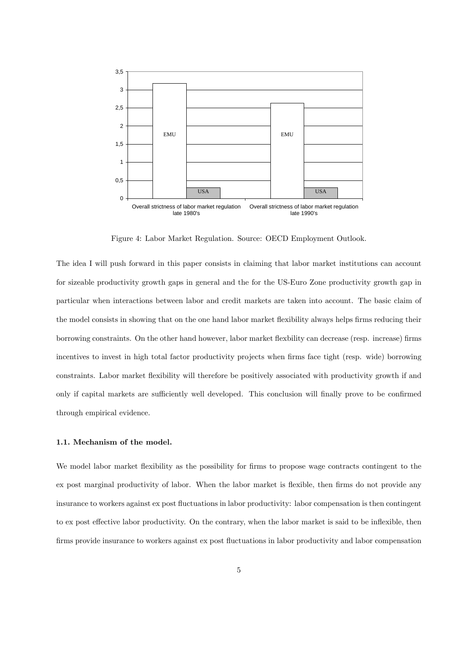

Figure 4: Labor Market Regulation. Source: OECD Employment Outlook.

The idea I will push forward in this paper consists in claiming that labor market institutions can account for sizeable productivity growth gaps in general and the for the US-Euro Zone productivity growth gap in particular when interactions between labor and credit markets are taken into account. The basic claim of the model consists in showing that on the one hand labor market flexibility always helps firms reducing their borrowing constraints. On the other hand however, labor market flexbility can decrease (resp. increase) firms incentives to invest in high total factor productivity projects when firms face tight (resp. wide) borrowing constraints. Labor market flexibility will therefore be positively associated with productivity growth if and only if capital markets are sufficiently well developed. This conclusion will finally prove to be confirmed through empirical evidence.

# 1.1. Mechanism of the model.

We model labor market flexibility as the possibility for firms to propose wage contracts contingent to the ex post marginal productivity of labor. When the labor market is flexible, then firms do not provide any insurance to workers against ex post fluctuations in labor productivity: labor compensation is then contingent to ex post effective labor productivity. On the contrary, when the labor market is said to be inflexible, then firms provide insurance to workers against ex post fluctuations in labor productivity and labor compensation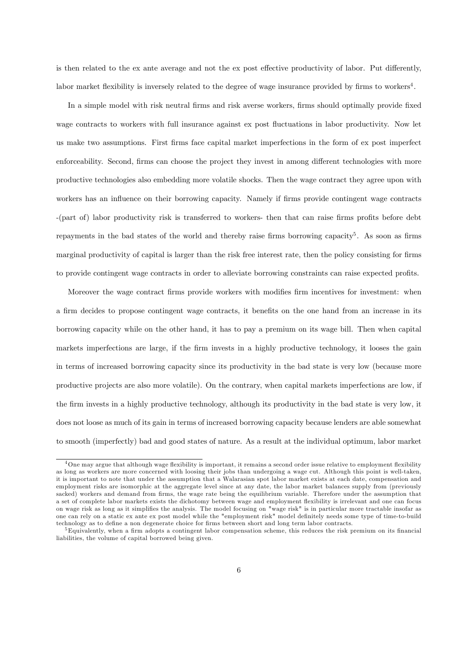is then related to the ex ante average and not the ex post effective productivity of labor. Put differently, labor market flexibility is inversely related to the degree of wage insurance provided by firms to workers<sup>4</sup>.

In a simple model with risk neutral firms and risk averse workers, firms should optimally provide fixed wage contracts to workers with full insurance against ex post fluctuations in labor productivity. Now let us make two assumptions. First Örms face capital market imperfections in the form of ex post imperfect enforceability. Second, firms can choose the project they invest in among different technologies with more productive technologies also embedding more volatile shocks. Then the wage contract they agree upon with workers has an influence on their borrowing capacity. Namely if firms provide contingent wage contracts -(part of) labor productivity risk is transferred to workers- then that can raise firms profits before debt repayments in the bad states of the world and thereby raise firms borrowing capacity<sup>5</sup>. As soon as firms marginal productivity of capital is larger than the risk free interest rate, then the policy consisting for firms to provide contingent wage contracts in order to alleviate borrowing constraints can raise expected profits.

Moreover the wage contract firms provide workers with modifies firm incentives for investment: when a firm decides to propose contingent wage contracts, it benefits on the one hand from an increase in its borrowing capacity while on the other hand, it has to pay a premium on its wage bill. Then when capital markets imperfections are large, if the firm invests in a highly productive technology, it looses the gain in terms of increased borrowing capacity since its productivity in the bad state is very low (because more productive projects are also more volatile). On the contrary, when capital markets imperfections are low, if the Örm invests in a highly productive technology, although its productivity in the bad state is very low, it does not loose as much of its gain in terms of increased borrowing capacity because lenders are able somewhat to smooth (imperfectly) bad and good states of nature. As a result at the individual optimum, labor market

 $4$ One may argue that although wage flexibility is important, it remains a second order issue relative to employment flexibility as long as workers are more concerned with loosing their jobs than undergoing a wage cut. Although this point is well-taken, it is important to note that under the assumption that a Walarasian spot labor market exists at each date, compensation and employment risks are isomorphic at the aggregate level since at any date, the labor market balances supply from (previously sacked) workers and demand from firms, the wage rate being the equilibrium variable. Therefore under the assumption that a set of complete labor markets exists the dichotomy between wage and employment áexibility is irrelevant and one can focus on wage risk as long as it simplifies the analysis. The model focusing on "wage risk" is in particular more tractable insofar as one can rely on a static ex ante ex post model while the "employment risk" model definitely needs some type of time-to-build technology as to define a non degenerate choice for firms between short and long term labor contracts.

<sup>&</sup>lt;sup>5</sup>Equivalently, when a firm adopts a contingent labor compensation scheme, this reduces the risk premium on its financial liabilities, the volume of capital borrowed being given.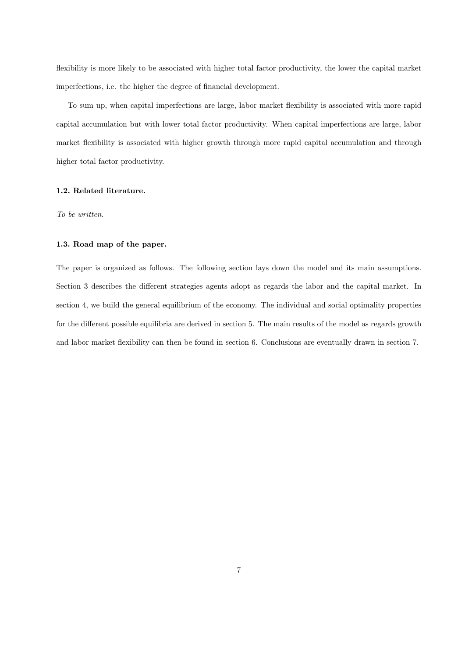flexibility is more likely to be associated with higher total factor productivity, the lower the capital market imperfections, i.e. the higher the degree of financial development.

To sum up, when capital imperfections are large, labor market flexibility is associated with more rapid capital accumulation but with lower total factor productivity. When capital imperfections are large, labor market flexibility is associated with higher growth through more rapid capital accumulation and through higher total factor productivity.

# 1.2. Related literature.

To be written.

#### 1.3. Road map of the paper.

The paper is organized as follows. The following section lays down the model and its main assumptions. Section 3 describes the different strategies agents adopt as regards the labor and the capital market. In section 4, we build the general equilibrium of the economy. The individual and social optimality properties for the different possible equilibria are derived in section 5. The main results of the model as regards growth and labor market flexibility can then be found in section 6. Conclusions are eventually drawn in section 7.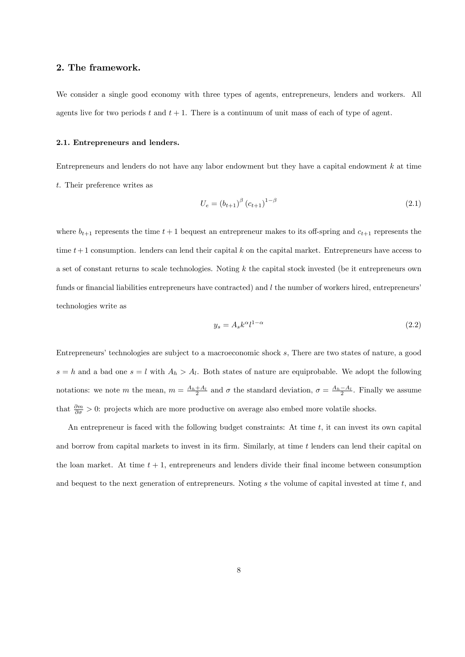# 2. The framework.

We consider a single good economy with three types of agents, entrepreneurs, lenders and workers. All agents live for two periods t and  $t + 1$ . There is a continuum of unit mass of each of type of agent.

# 2.1. Entrepreneurs and lenders.

Entrepreneurs and lenders do not have any labor endowment but they have a capital endowment  $k$  at time t. Their preference writes as

$$
U_e = (b_{t+1})^{\beta} (c_{t+1})^{1-\beta} \tag{2.1}
$$

where  $b_{t+1}$  represents the time  $t+1$  bequest an entrepreneur makes to its off-spring and  $c_{t+1}$  represents the time  $t+1$  consumption. lenders can lend their capital k on the capital market. Entrepreneurs have access to a set of constant returns to scale technologies. Noting  $k$  the capital stock invested (be it entrepreneurs own funds or financial liabilities entrepreneurs have contracted) and  $l$  the number of workers hired, entrepreneurs<sup>'</sup> technologies write as

$$
y_s = A_s k^{\alpha} l^{1-\alpha} \tag{2.2}
$$

Entrepreneurs' technologies are subject to a macroeconomic shock s, There are two states of nature, a good  $s = h$  and a bad one  $s = l$  with  $A_h > A_l$ . Both states of nature are equiprobable. We adopt the following notations: we note m the mean,  $m = \frac{A_h + A_l}{2}$  and  $\sigma$  the standard deviation,  $\sigma = \frac{A_h - A_l}{2}$ . Finally we assume that  $\frac{\partial m}{\partial \sigma} > 0$ : projects which are more productive on average also embed more volatile shocks.

An entrepreneur is faced with the following budget constraints: At time  $t$ , it can invest its own capital and borrow from capital markets to invest in its firm. Similarly, at time t lenders can lend their capital on the loan market. At time  $t + 1$ , entrepreneurs and lenders divide their final income between consumption and bequest to the next generation of entrepreneurs. Noting s the volume of capital invested at time t, and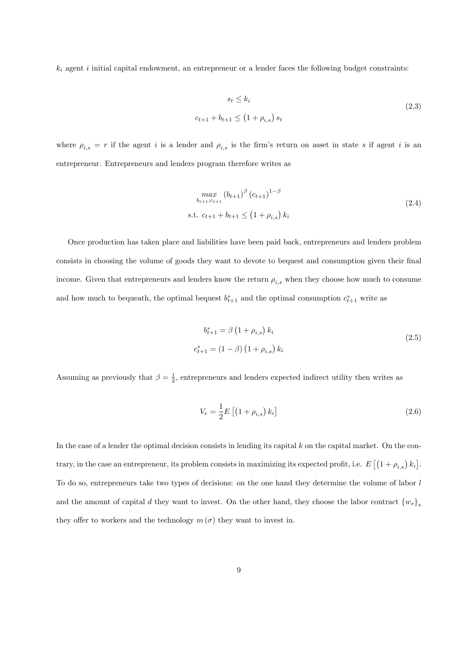$k_i$  agent i initial capital endowment, an entrepreneur or a lender faces the following budget constraints:

$$
s_t \le k_i
$$
  

$$
c_{t+1} + b_{t+1} \le (1 + \rho_{i,s}) s_t
$$
 (2.3)

where  $\rho_{i,s} = r$  if the agent i is a lender and  $\rho_{i,s}$  is the firm's return on asset in state s if agent i is an entrepreneur. Entrepreneurs and lenders program therefore writes as

$$
\max_{b_{t+1}:c_{t+1}} (b_{t+1})^{\beta} (c_{t+1})^{1-\beta}
$$
\n
$$
\text{s.t. } c_{t+1} + b_{t+1} \le (1 + \rho_{i,s}) k_i
$$
\n
$$
(2.4)
$$

Once production has taken place and liabilities have been paid back, entrepreneurs and lenders problem consists in choosing the volume of goods they want to devote to bequest and consumption given their final income. Given that entrepreneurs and lenders know the return  $\rho_{i,s}$  when they choose how much to consume and how much to be queath, the optimal bequest  $b_{t+1}^*$  and the optimal consumption  $c_{t+1}^*$  write as

$$
b_{t+1}^{*} = \beta (1 + \rho_{i,s}) k_i
$$
  

$$
c_{t+1}^{*} = (1 - \beta) (1 + \rho_{i,s}) k_i
$$
 (2.5)

Assuming as previously that  $\beta = \frac{1}{2}$ , entrepreneurs and lenders expected indirect utility then writes as

$$
V_e = \frac{1}{2} E \left[ \left( 1 + \rho_{i,s} \right) k_i \right] \tag{2.6}
$$

In the case of a lender the optimal decision consists in lending its capital  $k$  on the capital market. On the contrary, in the case an entrepreneur, its problem consists in maximizing its expected profit, i.e.  $E\left[\left(1+\rho_{i,s}\right)k_i\right]$ . To do so, entrepreneurs take two types of decisions: on the one hand they determine the volume of labor l and the amount of capital d they want to invest. On the other hand, they choose the labor contract  ${w_s}_s$ they offer to workers and the technology  $m(\sigma)$  they want to invest in.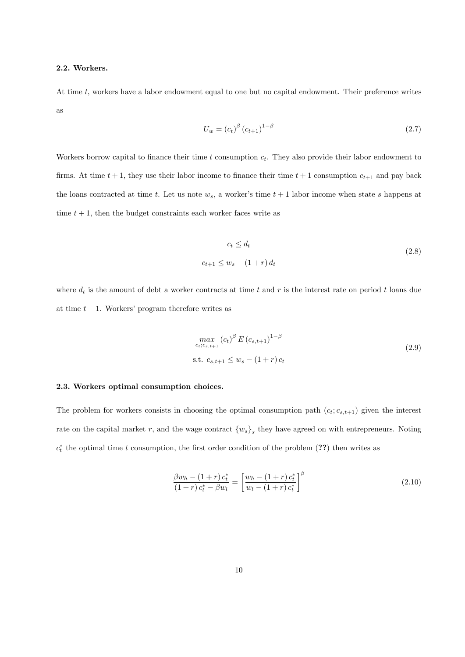### 2.2. Workers.

At time t, workers have a labor endowment equal to one but no capital endowment. Their preference writes as

$$
U_w = \left(c_t\right)^{\beta} \left(c_{t+1}\right)^{1-\beta} \tag{2.7}
$$

Workers borrow capital to finance their time t consumption  $c_t$ . They also provide their labor endowment to firms. At time  $t + 1$ , they use their labor income to finance their time  $t + 1$  consumption  $c_{t+1}$  and pay back the loans contracted at time t. Let us note  $w_s$ , a worker's time  $t + 1$  labor income when state s happens at time  $t + 1$ , then the budget constraints each worker faces write as

$$
c_t \le d_t
$$
  

$$
c_{t+1} \le w_s - (1+r) d_t
$$
 (2.8)

where  $d_t$  is the amount of debt a worker contracts at time t and r is the interest rate on period t loans due at time  $t + 1$ . Workers' program therefore writes as

$$
\max_{c_t; c_{s,t+1}} (c_t)^{\beta} E (c_{s,t+1})^{1-\beta}
$$
  
s.t.  $c_{s,t+1} \le w_s - (1+r)c_t$  (2.9)

#### 2.3. Workers optimal consumption choices.

The problem for workers consists in choosing the optimal consumption path  $(c_t; c_{s,t+1})$  given the interest rate on the capital market r, and the wage contract  ${w_s}_s$  they have agreed on with entrepreneurs. Noting  $c_t^*$  the optimal time t consumption, the first order condition of the problem  $(??)$  then writes as

$$
\frac{\beta w_h - (1+r) c_t^*}{(1+r) c_t^* - \beta w_l} = \left[ \frac{w_h - (1+r) c_t^*}{w_l - (1+r) c_t^*} \right]^\beta \tag{2.10}
$$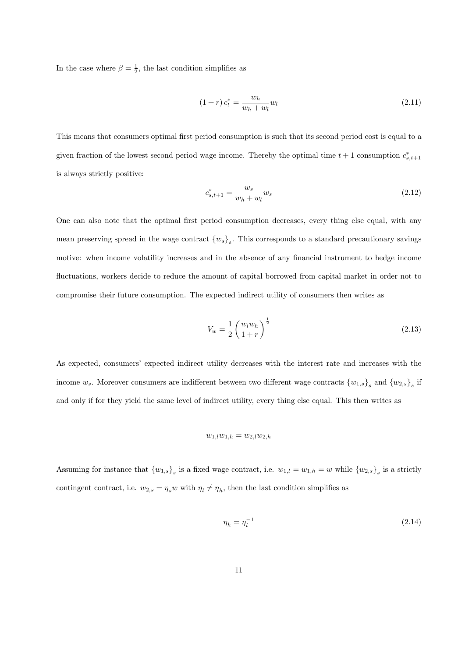In the case where  $\beta = \frac{1}{2}$ , the last condition simplifies as

$$
(1+r)c_t^* = \frac{w_h}{w_h + w_l} w_l \tag{2.11}
$$

This means that consumers optimal first period consumption is such that its second period cost is equal to a given fraction of the lowest second period wage income. Thereby the optimal time  $t+1$  consumption  $c_{s,t+1}^*$ is always strictly positive:

$$
c_{s,t+1}^* = \frac{w_s}{w_h + w_l} w_s \tag{2.12}
$$

One can also note that the optimal first period consumption decreases, every thing else equal, with any mean preserving spread in the wage contract  ${w_s}_s$ . This corresponds to a standard precautionary savings motive: when income volatility increases and in the absence of any financial instrument to hedge income fluctuations, workers decide to reduce the amount of capital borrowed from capital market in order not to compromise their future consumption. The expected indirect utility of consumers then writes as

$$
V_w = \frac{1}{2} \left( \frac{w_l w_h}{1+r} \right)^{\frac{1}{2}} \tag{2.13}
$$

As expected, consumers' expected indirect utility decreases with the interest rate and increases with the income  $w_s$ . Moreover consumers are indifferent between two different wage contracts  $\{w_{1,s}\}_s$  and  $\{w_{2,s}\}_s$  if and only if for they yield the same level of indirect utility, every thing else equal. This then writes as

$$
w_{1,l}w_{1,h} = w_{2,l}w_{2,h}
$$

Assuming for instance that  ${w_{1,s}}_s$  is a fixed wage contract, i.e.  $w_{1,l} = w_{1,h} = w$  while  ${w_{2,s}}_s$  is a strictly contingent contract, i.e.  $w_{2,s} = \eta_s w$  with  $\eta_l \neq \eta_h$ , then the last condition simplifies as

$$
\eta_h = \eta_l^{-1} \tag{2.14}
$$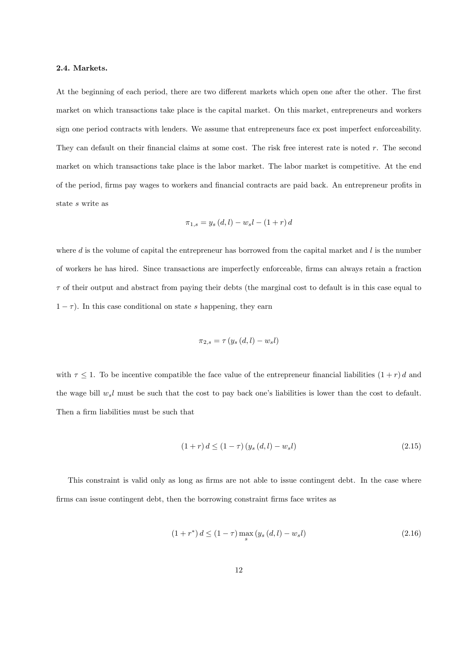### 2.4. Markets.

At the beginning of each period, there are two different markets which open one after the other. The first market on which transactions take place is the capital market. On this market, entrepreneurs and workers sign one period contracts with lenders. We assume that entrepreneurs face ex post imperfect enforceability. They can default on their financial claims at some cost. The risk free interest rate is noted  $r$ . The second market on which transactions take place is the labor market. The labor market is competitive. At the end of the period, firms pay wages to workers and financial contracts are paid back. An entrepreneur profits in state s write as

$$
\pi_{1,s} = y_s(d, l) - w_s l - (1+r) d
$$

where  $d$  is the volume of capital the entrepreneur has borrowed from the capital market and  $l$  is the number of workers he has hired. Since transactions are imperfectly enforceable, Örms can always retain a fraction  $\tau$  of their output and abstract from paying their debts (the marginal cost to default is in this case equal to  $1 - \tau$ ). In this case conditional on state s happening, they earn

$$
\pi_{2,s} = \tau\left(y_s\left(d,l\right) - w_s l\right)
$$

with  $\tau \leq 1$ . To be incentive compatible the face value of the entrepreneur financial liabilities  $(1 + r) d$  and the wage bill  $w_s l$  must be such that the cost to pay back one's liabilities is lower than the cost to default. Then a firm liabilities must be such that

$$
(1+r) d \le (1-\tau) (y_s (d,l) - w_s l) \tag{2.15}
$$

This constraint is valid only as long as firms are not able to issue contingent debt. In the case where firms can issue contingent debt, then the borrowing constraint firms face writes as

$$
(1+r^*) d \le (1-\tau) \max_{s} (y_s(d,l) - w_s l)
$$
\n(2.16)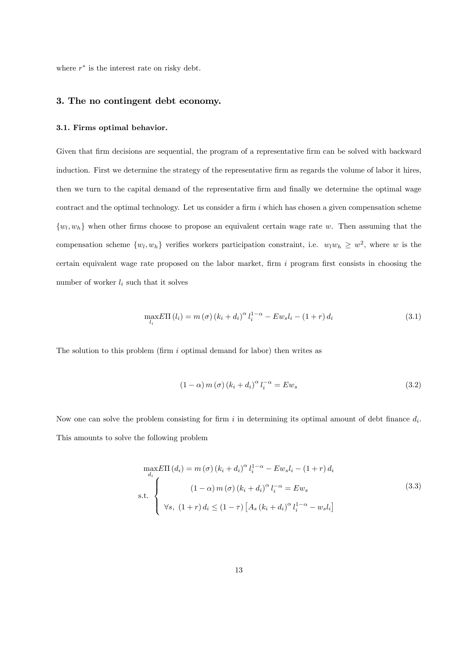where  $r^*$  is the interest rate on risky debt.

# 3. The no contingent debt economy.

# 3.1. Firms optimal behavior.

Given that firm decisions are sequential, the program of a representative firm can be solved with backward induction. First we determine the strategy of the representative firm as regards the volume of labor it hires, then we turn to the capital demand of the representative firm and finally we determine the optimal wage contract and the optimal technology. Let us consider a firm  $i$  which has chosen a given compensation scheme  $\{w_l, w_h\}$  when other firms choose to propose an equivalent certain wage rate w. Then assuming that the compensation scheme  $\{w_l, w_h\}$  verifies workers participation constraint, i.e.  $w_l w_h \geq w^2$ , where w is the certain equivalent wage rate proposed on the labor market, firm  $i$  program first consists in choosing the number of worker  $l_i$  such that it solves

$$
\max_{l_i} E\Pi(l_i) = m(\sigma) \left( k_i + d_i \right)^{\alpha} l_i^{1-\alpha} - E w_s l_i - (1+r) d_i \tag{3.1}
$$

The solution to this problem (firm  $i$  optimal demand for labor) then writes as

$$
(1 - \alpha) m(\sigma) (k_i + d_i)^{\alpha} l_i^{-\alpha} = E w_s \tag{3.2}
$$

Now one can solve the problem consisting for firm i in determining its optimal amount of debt finance  $d_i$ . This amounts to solve the following problem

$$
\max_{d_i} E\Pi(d_i) = m(\sigma) (k_i + d_i)^{\alpha} l_i^{1-\alpha} - E w_s l_i - (1+r) d_i
$$
\n
$$
\text{s.t.} \begin{cases}\n(1-\alpha) m(\sigma) (k_i + d_i)^{\alpha} l_i^{-\alpha} = E w_s \\
\forall s, (1+r) d_i \le (1-\tau) [A_s (k_i + d_i)^{\alpha} l_i^{1-\alpha} - w_s l_i]\n\end{cases}
$$
\n(3.3)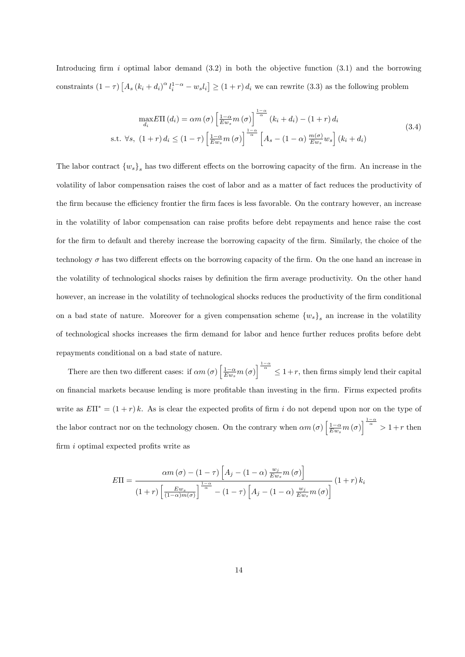Introducing firm i optimal labor demand  $(3.2)$  in both the objective function  $(3.1)$  and the borrowing constraints  $(1 - \tau) [A_s (k_i + d_i)^{\alpha} l_i^{1-\alpha} - w_s l_i] \ge (1 + r) d_i$  we can rewrite (3.3) as the following problem

$$
\max_{d_i} E\Pi(d_i) = \alpha m(\sigma) \left[ \frac{1-\alpha}{E w_s} m(\sigma) \right]^{-\frac{1-\alpha}{\alpha}} (k_i + d_i) - (1+r) d_i
$$
\n
$$
\text{s.t. } \forall s, \ (1+r) \, d_i \le (1-\tau) \left[ \frac{1-\alpha}{E w_s} m(\sigma) \right]^{-\frac{1-\alpha}{\alpha}} \left[ A_s - (1-\alpha) \frac{m(\sigma)}{E w_s} w_s \right] (k_i + d_i)
$$
\n
$$
(3.4)
$$

The labor contract  ${w_s}_s$  has two different effects on the borrowing capacity of the firm. An increase in the volatility of labor compensation raises the cost of labor and as a matter of fact reduces the productivity of the firm because the efficiency frontier the firm faces is less favorable. On the contrary however, an increase in the volatility of labor compensation can raise profits before debt repayments and hence raise the cost for the firm to default and thereby increase the borrowing capacity of the firm. Similarly, the choice of the technology  $\sigma$  has two different effects on the borrowing capacity of the firm. On the one hand an increase in the volatility of technological shocks raises by definition the firm average productivity. On the other hand however, an increase in the volatility of technological shocks reduces the productivity of the firm conditional on a bad state of nature. Moreover for a given compensation scheme  $\{w_s\}_s$  an increase in the volatility of technological shocks increases the firm demand for labor and hence further reduces profits before debt repayments conditional on a bad state of nature.

There are then two different cases: if  $\alpha m(\sigma) \left[ \frac{1-\alpha}{Ew_s} m(\sigma) \right]^{\frac{1-\alpha}{\alpha}} \leq 1+r$ , then firms simply lend their capital on financial markets because lending is more profitable than investing in the firm. Firms expected profits write as  $E\Pi^* = (1+r) k$ . As is clear the expected profits of firm i do not depend upon nor on the type of the labor contract nor on the technology chosen. On the contrary when  $\alpha m(\sigma) \left[ \frac{1-\alpha}{E w_s} m(\sigma) \right]^{\frac{1-\alpha}{\alpha}} > 1+r$  then firm  $i$  optimal expected profits write as

$$
E\Pi = \frac{\alpha m\left(\sigma\right) - \left(1 - \tau\right) \left[A_j - \left(1 - \alpha\right) \frac{w_j}{E w_s} m\left(\sigma\right)\right]}{\left(1 + r\right) \left[\frac{E w_s}{\left(1 - \alpha\right) m\left(\sigma\right)}\right]^{\frac{1 - \alpha}{\alpha}} - \left(1 - \tau\right) \left[A_j - \left(1 - \alpha\right) \frac{w_j}{E w_s} m\left(\sigma\right)\right]} \left(1 + r\right) k_i
$$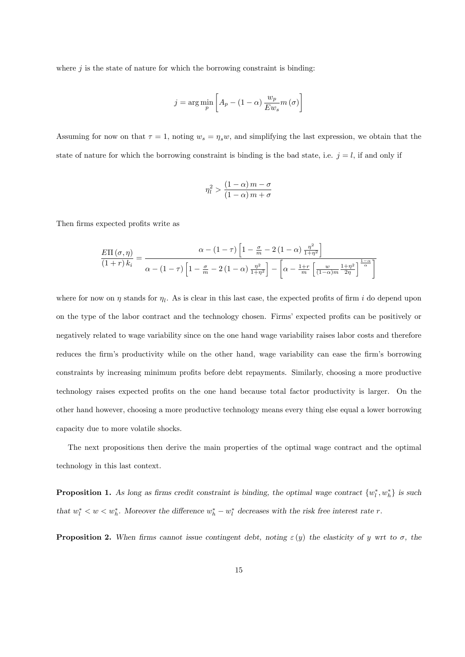where  $j$  is the state of nature for which the borrowing constraint is binding:

$$
j = \arg\min_{p} \left[ A_p - (1 - \alpha) \frac{w_p}{E w_s} m(\sigma) \right]
$$

Assuming for now on that  $\tau = 1$ , noting  $w_s = \eta_s w$ , and simplifying the last expression, we obtain that the state of nature for which the borrowing constraint is binding is the bad state, i.e.  $j = l$ , if and only if

$$
\eta_l^2 > \frac{(1-\alpha) m - \sigma}{(1-\alpha) m + \sigma}
$$

Then firms expected profits write as

$$
\frac{E\Pi\left(\sigma,\eta\right)}{\left(1+r\right)k_{i}} = \frac{\alpha - \left(1-\tau\right)\left[1-\frac{\sigma}{m}-2\left(1-\alpha\right)\frac{\eta^{2}}{1+\eta^{2}}\right]}{\alpha - \left(1-\tau\right)\left[1-\frac{\sigma}{m}-2\left(1-\alpha\right)\frac{\eta^{2}}{1+\eta^{2}}\right] - \left[\alpha - \frac{1+r}{m}\left[\frac{w}{\left(1-\alpha\right)m}\frac{1+\eta^{2}}{2\eta}\right]^{\frac{1-\alpha}{\alpha}}\right]}
$$

where for now on  $\eta$  stands for  $\eta_l$ . As is clear in this last case, the expected profits of firm i do depend upon on the type of the labor contract and the technology chosen. Firms' expected profits can be positively or negatively related to wage variability since on the one hand wage variability raises labor costs and therefore reduces the firm's productivity while on the other hand, wage variability can ease the firm's borrowing constraints by increasing minimum profits before debt repayments. Similarly, choosing a more productive technology raises expected profits on the one hand because total factor productivity is larger. On the other hand however, choosing a more productive technology means every thing else equal a lower borrowing capacity due to more volatile shocks.

The next propositions then derive the main properties of the optimal wage contract and the optimal technology in this last context.

**Proposition 1.** As long as firms credit constraint is binding, the optimal wage contract  $\{w_l^*, w_h^*\}$  is such that  $w_l^* < w < w_h^*$ . Moreover the difference  $w_h^* - w_l^*$  decreases with the risk free interest rate r.

**Proposition 2.** When firms cannot issue contingent debt, noting  $\varepsilon(y)$  the elasticity of y wrt to  $\sigma$ , the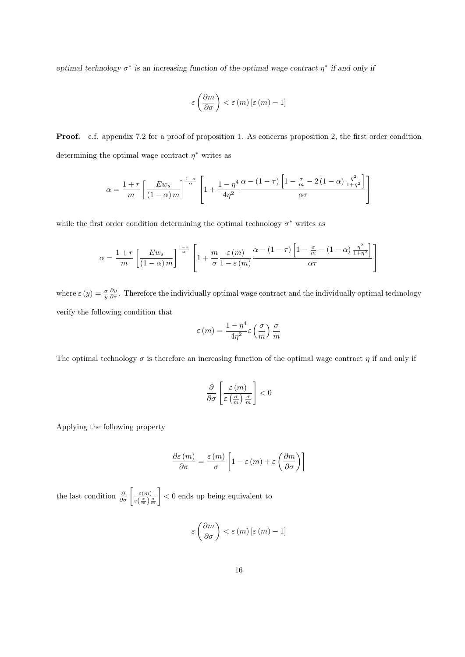optimal technology  $\sigma^*$  is an increasing function of the optimal wage contract  $\eta^*$  if and only if

$$
\varepsilon\left(\frac{\partial m}{\partial\sigma}\right)<\varepsilon\left(m\right)\left[\varepsilon\left(m\right)-1\right]
$$

Proof. c.f. appendix 7.2 for a proof of proposition 1. As concerns proposition 2, the first order condition determining the optimal wage contract  $\eta^*$  writes as

$$
\alpha = \frac{1+r}{m} \left[ \frac{E w_s}{(1-\alpha) m} \right]^{\frac{1-\alpha}{\alpha}} \left[ 1 + \frac{1-\eta^4}{4\eta^2} \frac{\alpha - (1-\tau) \left[ 1 - \frac{\sigma}{m} - 2(1-\alpha) \frac{\eta^2}{1+\eta^2} \right]}{\alpha \tau} \right]
$$

while the first order condition determining the optimal technology  $\sigma^*$  writes as

$$
\alpha = \frac{1+r}{m} \left[ \frac{E w_s}{(1-\alpha) m} \right]^{\frac{1-\alpha}{\alpha}} \left[ 1 + \frac{m}{\sigma} \frac{\varepsilon(m)}{1-\varepsilon(m)} \frac{\alpha - (1-\tau) \left[ 1 - \frac{\sigma}{m} - (1-\alpha) \frac{\eta^2}{1+\eta^2} \right]}{\alpha \tau} \right]
$$

where  $\varepsilon(y) = \frac{\sigma}{y} \frac{\partial y}{\partial \sigma}$ . Therefore the individually optimal wage contract and the individually optimal technology verify the following condition that

$$
\varepsilon(m) = \frac{1 - \eta^4}{4\eta^2} \varepsilon\left(\frac{\sigma}{m}\right) \frac{\sigma}{m}
$$

The optimal technology  $\sigma$  is therefore an increasing function of the optimal wage contract  $\eta$  if and only if

$$
\frac{\partial}{\partial \sigma} \left[ \frac{\varepsilon(m)}{\varepsilon \left( \frac{\sigma}{m} \right) \frac{\sigma}{m}} \right] < 0
$$

Applying the following property

$$
\frac{\partial \varepsilon \left(m\right)}{\partial \sigma }=\frac{\varepsilon \left(m\right)}{\sigma }\left[1-\varepsilon \left(m\right)+\varepsilon \left(\frac{\partial m}{\partial \sigma }\right)\right]
$$

the last condition  $\frac{\partial}{\partial \sigma} \left[ \frac{\varepsilon(m)}{\varepsilon(\frac{\sigma}{2})} \right]$  $\varepsilon\left(\frac{\sigma}{m}\right)\frac{\sigma}{m}$ 1 < 0 ends up being equivalent to

$$
\varepsilon\left(\frac{\partial m}{\partial \sigma}\right) < \varepsilon(m) \left[\varepsilon\left(m\right) - 1\right]
$$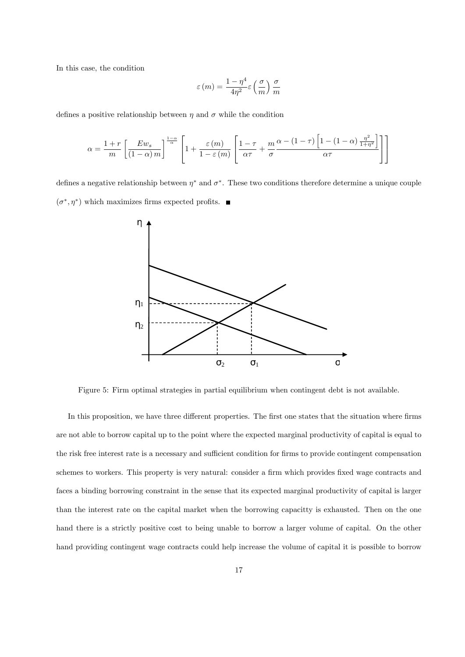In this case, the condition

$$
\varepsilon(m) = \frac{1 - \eta^4}{4\eta^2} \varepsilon\left(\frac{\sigma}{m}\right) \frac{\sigma}{m}
$$

defines a positive relationship between  $\eta$  and  $\sigma$  while the condition

$$
\alpha = \frac{1+r}{m} \left[ \frac{Ew_s}{(1-\alpha)m} \right]^{\frac{1-\alpha}{\alpha}} \left[ 1 + \frac{\varepsilon(m)}{1-\varepsilon(m)} \left[ \frac{1-\tau}{\alpha \tau} + \frac{m}{\sigma} \frac{\alpha - (1-\tau) \left[ 1-(1-\alpha) \frac{\eta^2}{1+\eta^2} \right]}{\alpha \tau} \right] \right]
$$

defines a negative relationship between  $\eta^*$  and  $\sigma^*$ . These two conditions therefore determine a unique couple  $(\sigma^*, \eta^*)$  which maximizes firms expected profits.



Figure 5: Firm optimal strategies in partial equilibrium when contingent debt is not available.

In this proposition, we have three different properties. The first one states that the situation where firms are not able to borrow capital up to the point where the expected marginal productivity of capital is equal to the risk free interest rate is a necessary and sufficient condition for firms to provide contingent compensation schemes to workers. This property is very natural: consider a firm which provides fixed wage contracts and faces a binding borrowing constraint in the sense that its expected marginal productivity of capital is larger than the interest rate on the capital market when the borrowing capacitty is exhausted. Then on the one hand there is a strictly positive cost to being unable to borrow a larger volume of capital. On the other hand providing contingent wage contracts could help increase the volume of capital it is possible to borrow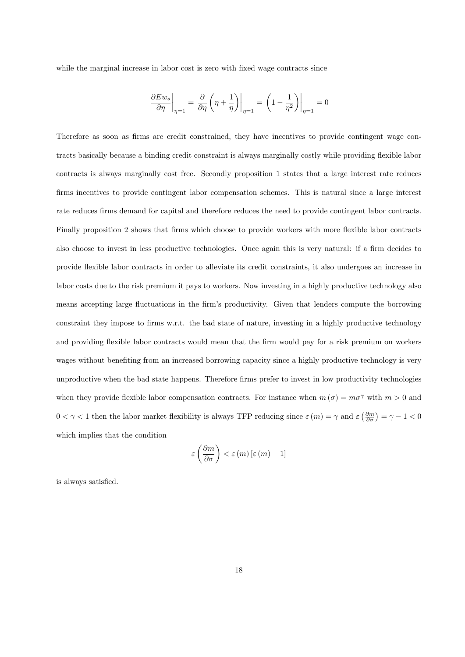while the marginal increase in labor cost is zero with fixed wage contracts since

$$
\left.\frac{\partial Ew_s}{\partial\eta}\right|_{\eta=1}=\left.\frac{\partial}{\partial\eta}\left(\eta+\frac{1}{\eta}\right)\right|_{\eta=1}=\left.\left(1-\frac{1}{\eta^2}\right)\right|_{\eta=1}=0
$$

Therefore as soon as firms are credit constrained, they have incentives to provide contingent wage contracts basically because a binding credit constraint is always marginally costly while providing flexible labor contracts is always marginally cost free. Secondly proposition 1 states that a large interest rate reduces firms incentives to provide contingent labor compensation schemes. This is natural since a large interest rate reduces firms demand for capital and therefore reduces the need to provide contingent labor contracts. Finally proposition 2 shows that firms which choose to provide workers with more flexible labor contracts also choose to invest in less productive technologies. Once again this is very natural: if a firm decides to provide áexible labor contracts in order to alleviate its credit constraints, it also undergoes an increase in labor costs due to the risk premium it pays to workers. Now investing in a highly productive technology also means accepting large fluctuations in the firm's productivity. Given that lenders compute the borrowing constraint they impose to firms w.r.t. the bad state of nature, investing in a highly productive technology and providing flexible labor contracts would mean that the firm would pay for a risk premium on workers wages without benefiting from an increased borrowing capacity since a highly productive technology is very unproductive when the bad state happens. Therefore firms prefer to invest in low productivity technologies when they provide flexible labor compensation contracts. For instance when  $m(\sigma) = m\sigma^{\gamma}$  with  $m > 0$  and  $0 < \gamma < 1$  then the labor market flexibility is always TFP reducing since  $\varepsilon(m) = \gamma$  and  $\varepsilon(\frac{\partial m}{\partial \sigma}) = \gamma - 1 < 0$ which implies that the condition

$$
\varepsilon\left(\frac{\partial m}{\partial \sigma}\right) < \varepsilon(m) \left[\varepsilon\left(m\right) - 1\right]
$$

is always satisfied.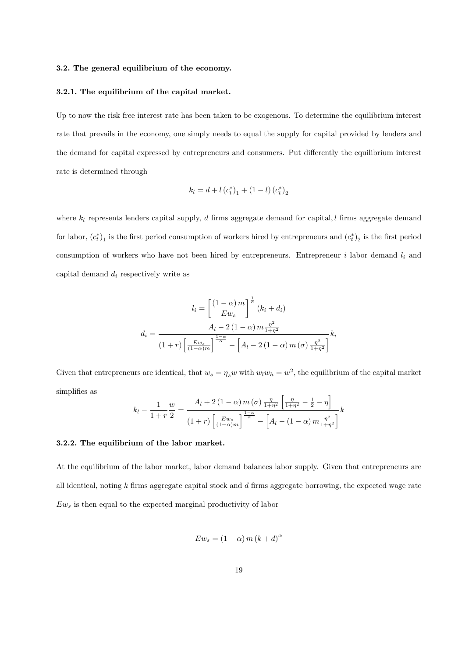#### 3.2. The general equilibrium of the economy.

#### 3.2.1. The equilibrium of the capital market.

Up to now the risk free interest rate has been taken to be exogenous. To determine the equilibrium interest rate that prevails in the economy, one simply needs to equal the supply for capital provided by lenders and the demand for capital expressed by entrepreneurs and consumers. Put differently the equilibrium interest rate is determined through

$$
k_l = d + l (c_t^*)_1 + (1 - l) (c_t^*)_2
$$

where  $k_l$  represents lenders capital supply, d firms aggregate demand for capital, l firms aggregate demand for labor,  $(c_t^*)_1$  is the first period consumption of workers hired by entrepreneurs and  $(c_t^*)_2$  is the first period consumption of workers who have not been hired by entrepreneurs. Entrepreneur  $i$  labor demand  $l_i$  and capital demand  $d_i$  respectively write as

$$
l_i = \left[\frac{(1-\alpha)m}{Ew_s}\right]^{\frac{1}{\alpha}} (k_i + d_i)
$$

$$
d_i = \frac{A_l - 2(1-\alpha)m\frac{\eta^2}{1+\eta^2}}{(1+r)\left[\frac{Ew_s}{(1-\alpha)m}\right]^{\frac{1-\alpha}{\alpha}} - \left[A_l - 2(1-\alpha)m(\sigma)\frac{\eta^2}{1+\eta^2}\right]}k_i
$$

Given that entrepreneurs are identical, that  $w_s = \eta_s w$  with  $w_l w_h = w^2$ , the equilibrium of the capital market simplifies as

$$
k_{l} - \frac{1}{1+r} \frac{w}{2} = \frac{A_{l} + 2(1-\alpha) m(\sigma) \frac{\eta}{1+\eta^{2}} \left[ \frac{\eta}{1+\eta^{2}} - \frac{1}{2} - \eta \right]}{(1+r) \left[ \frac{Ew_{s}}{(1-\alpha)m} \right]^{\frac{1-\alpha}{\alpha}} - \left[ A_{l} - (1-\alpha) m \frac{\eta^{2}}{1+\eta^{2}} \right]^{2}}
$$

### 3.2.2. The equilibrium of the labor market.

At the equilibrium of the labor market, labor demand balances labor supply. Given that entrepreneurs are all identical, noting  $k$  firms aggregate capital stock and  $d$  firms aggregate borrowing, the expected wage rate  $Ew<sub>s</sub>$  is then equal to the expected marginal productivity of labor

$$
Ew_s = (1 - \alpha) m (k + d)^{\alpha}
$$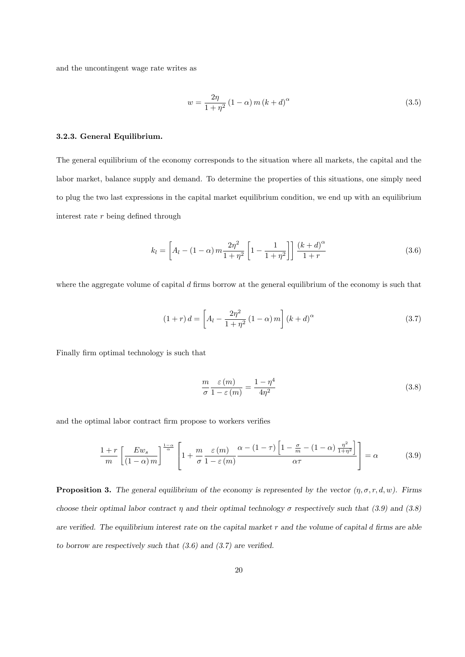and the uncontingent wage rate writes as

$$
w = \frac{2\eta}{1+\eta^2} \left(1-\alpha\right) m \left(k+d\right)^{\alpha} \tag{3.5}
$$

# 3.2.3. General Equilibrium.

The general equilibrium of the economy corresponds to the situation where all markets, the capital and the labor market, balance supply and demand. To determine the properties of this situations, one simply need to plug the two last expressions in the capital market equilibrium condition, we end up with an equilibrium interest rate  $r$  being defined through

$$
k_l = \left[ A_l - (1 - \alpha) m \frac{2\eta^2}{1 + \eta^2} \left[ 1 - \frac{1}{1 + \eta^2} \right] \right] \frac{(k + d)^{\alpha}}{1 + r}
$$
 (3.6)

where the aggregate volume of capital  $d$  firms borrow at the general equilibrium of the economy is such that

$$
(1+r)d = \left[A_l - \frac{2\eta^2}{1+\eta^2}(1-\alpha)m\right](k+d)^\alpha
$$
\n(3.7)

Finally firm optimal technology is such that

$$
\frac{m}{\sigma} \frac{\varepsilon(m)}{1 - \varepsilon(m)} = \frac{1 - \eta^4}{4\eta^2} \tag{3.8}
$$

and the optimal labor contract firm propose to workers verifies

$$
\frac{1+r}{m} \left[ \frac{Ew_s}{(1-\alpha)m} \right]^{\frac{1-\alpha}{\alpha}} \left[ 1 + \frac{m}{\sigma} \frac{\varepsilon(m)}{1-\varepsilon(m)} \frac{\alpha - (1-\tau)}{1-\frac{\sigma}{\alpha}} \frac{\left[1 - \frac{\sigma}{m} - (1-\alpha) \frac{\eta^2}{1+\eta^2} \right]}{\alpha \tau} \right] = \alpha \tag{3.9}
$$

**Proposition 3.** The general equilibrium of the economy is represented by the vector  $(\eta, \sigma, r, d, w)$ . Firms choose their optimal labor contract  $\eta$  and their optimal technology  $\sigma$  respectively such that (3.9) and (3.8) are verified. The equilibrium interest rate on the capital market  $r$  and the volume of capital d firms are able to borrow are respectively such that  $(3.6)$  and  $(3.7)$  are verified.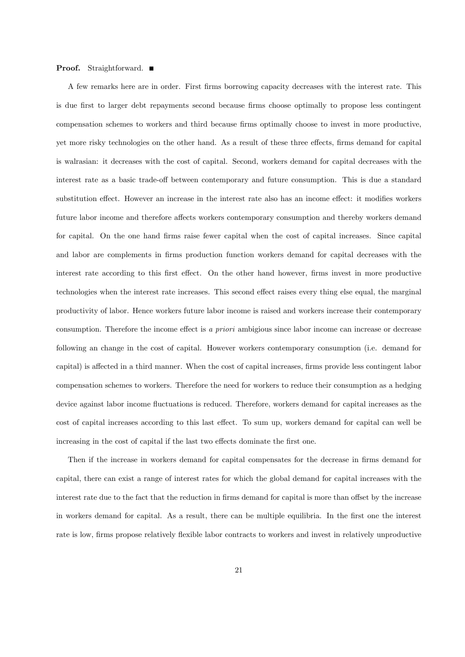#### **Proof.** Straightforward. ■

A few remarks here are in order. First Örms borrowing capacity decreases with the interest rate. This is due Örst to larger debt repayments second because Örms choose optimally to propose less contingent compensation schemes to workers and third because firms optimally choose to invest in more productive, yet more risky technologies on the other hand. As a result of these three effects, firms demand for capital is walrasian: it decreases with the cost of capital. Second, workers demand for capital decreases with the interest rate as a basic trade-off between contemporary and future consumption. This is due a standard substitution effect. However an increase in the interest rate also has an income effect: it modifies workers future labor income and therefore affects workers contemporary consumption and thereby workers demand for capital. On the one hand firms raise fewer capital when the cost of capital increases. Since capital and labor are complements in firms production function workers demand for capital decreases with the interest rate according to this first effect. On the other hand however, firms invest in more productive technologies when the interest rate increases. This second effect raises every thing else equal, the marginal productivity of labor. Hence workers future labor income is raised and workers increase their contemporary consumption. Therefore the income effect is a priori ambigious since labor income can increase or decrease following an change in the cost of capital. However workers contemporary consumption (i.e. demand for capital) is affected in a third manner. When the cost of capital increases, firms provide less contingent labor compensation schemes to workers. Therefore the need for workers to reduce their consumption as a hedging device against labor income fluctuations is reduced. Therefore, workers demand for capital increases as the cost of capital increases according to this last effect. To sum up, workers demand for capital can well be increasing in the cost of capital if the last two effects dominate the first one.

Then if the increase in workers demand for capital compensates for the decrease in firms demand for capital, there can exist a range of interest rates for which the global demand for capital increases with the interest rate due to the fact that the reduction in firms demand for capital is more than offset by the increase in workers demand for capital. As a result, there can be multiple equilibria. In the first one the interest rate is low, firms propose relatively flexible labor contracts to workers and invest in relatively unproductive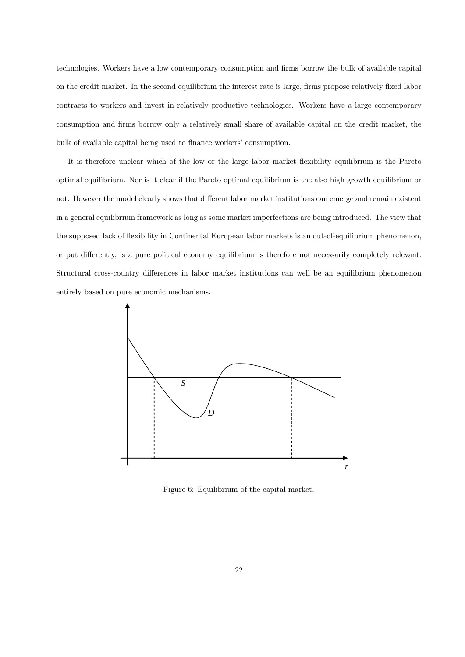technologies. Workers have a low contemporary consumption and firms borrow the bulk of available capital on the credit market. In the second equilibrium the interest rate is large, firms propose relatively fixed labor contracts to workers and invest in relatively productive technologies. Workers have a large contemporary consumption and Örms borrow only a relatively small share of available capital on the credit market, the bulk of available capital being used to finance workers' consumption.

It is therefore unclear which of the low or the large labor market flexibility equilibrium is the Pareto optimal equilibrium. Nor is it clear if the Pareto optimal equilibrium is the also high growth equilibrium or not. However the model clearly shows that different labor market institutions can emerge and remain existent in a general equilibrium framework as long as some market imperfections are being introduced. The view that the supposed lack of flexibility in Continental European labor markets is an out-of-equilibrium phenomenon, or put differently, is a pure political economy equilibrium is therefore not necessarily completely relevant. Structural cross-country differences in labor market institutions can well be an equilibrium phenomenon entirely based on pure economic mechanisms.



Figure 6: Equilibrium of the capital market.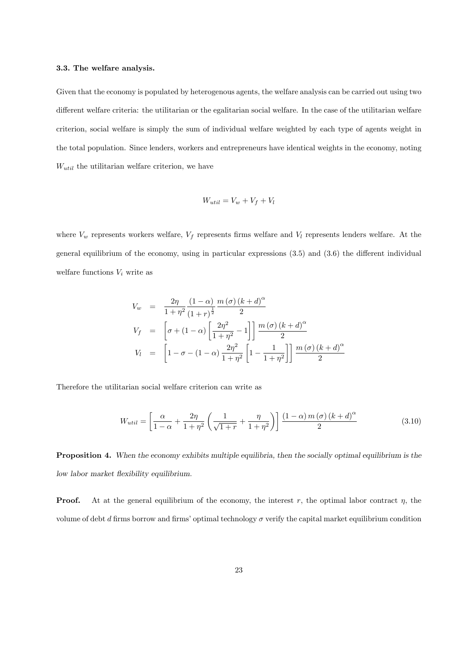### 3.3. The welfare analysis.

Given that the economy is populated by heterogenous agents, the welfare analysis can be carried out using two different welfare criteria: the utilitarian or the egalitarian social welfare. In the case of the utilitarian welfare criterion, social welfare is simply the sum of individual welfare weighted by each type of agents weight in the total population. Since lenders, workers and entrepreneurs have identical weights in the economy, noting  $W_{util}$  the utilitarian welfare criterion, we have

$$
W_{util} = V_w + V_f + V_l
$$

where  $V_w$  represents workers welfare,  $V_f$  represents firms welfare and  $V_l$  represents lenders welfare. At the general equilibrium of the economy, using in particular expressions  $(3.5)$  and  $(3.6)$  the different individual welfare functions  $V_i$  write as

$$
V_w = \frac{2\eta}{1+\eta^2} \frac{(1-\alpha)}{(1+r)^{\frac{1}{2}}} \frac{m(\sigma)(k+d)^{\alpha}}{2}
$$
  
\n
$$
V_f = \left[ \sigma + (1-\alpha) \left[ \frac{2\eta^2}{1+\eta^2} - 1 \right] \right] \frac{m(\sigma)(k+d)^{\alpha}}{2}
$$
  
\n
$$
V_l = \left[ 1 - \sigma - (1-\alpha) \frac{2\eta^2}{1+\eta^2} \left[ 1 - \frac{1}{1+\eta^2} \right] \right] \frac{m(\sigma)(k+d)^{\alpha}}{2}
$$

Therefore the utilitarian social welfare criterion can write as

$$
W_{util} = \left[\frac{\alpha}{1-\alpha} + \frac{2\eta}{1+\eta^2} \left(\frac{1}{\sqrt{1+r}} + \frac{\eta}{1+\eta^2}\right)\right] \frac{(1-\alpha)m(\sigma)(k+d)^{\alpha}}{2}
$$
(3.10)

Proposition 4. When the economy exhibits multiple equilibria, then the socially optimal equilibrium is the low labor market flexibility equilibrium.

**Proof.** At at the general equilibrium of the economy, the interest r, the optimal labor contract  $\eta$ , the volume of debt d firms borrow and firms' optimal technology  $\sigma$  verify the capital market equilibrium condition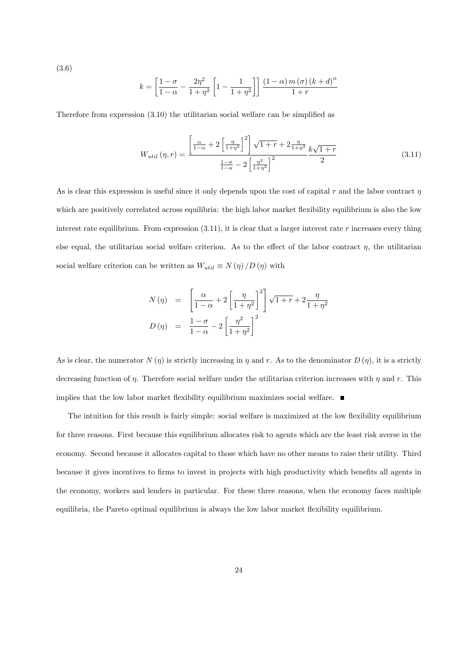(3.6)

$$
k = \left[\frac{1-\sigma}{1-\alpha} - \frac{2\eta^2}{1+\eta^2} \left[1 - \frac{1}{1+\eta^2}\right]\right] \frac{(1-\alpha)m(\sigma)(k+d)^{\alpha}}{1+r}
$$

Therefore from expression  $(3.10)$  the utilitarian social welfare can be simplified as

$$
W_{util}(\eta, r) = \frac{\left[\frac{\alpha}{1-\alpha} + 2\left[\frac{\eta}{1+\eta^2}\right]^2\right] \sqrt{1+r} + 2\frac{\eta}{1+\eta^2}}{\frac{1-\sigma}{1-\alpha} - 2\left[\frac{\eta^2}{1+\eta^2}\right]^2} \frac{k\sqrt{1+r}}{2}
$$
(3.11)

As is clear this expression is useful since it only depends upon the cost of capital r and the labor contract  $\eta$ which are positively correlated across equilibria: the high labor market flexibility equilibrium is also the low interest rate equilibrium. From expression  $(3.11)$ , it is clear that a larger interest rate r increases every thing else equal, the utilitarian social welfare criterion. As to the effect of the labor contract  $\eta$ , the utilitarian social welfare criterion can be written as  $W_{util} \equiv N \left( \eta \right) / D \left( \eta \right)$  with

$$
N(\eta) = \left[ \frac{\alpha}{1-\alpha} + 2 \left[ \frac{\eta}{1+\eta^2} \right]^2 \right] \sqrt{1+r} + 2 \frac{\eta}{1+\eta^2}
$$
  

$$
D(\eta) = \frac{1-\sigma}{1-\alpha} - 2 \left[ \frac{\eta^2}{1+\eta^2} \right]^2
$$

As is clear, the numerator  $N(\eta)$  is strictly increasing in  $\eta$  and r. As to the denominator  $D(\eta)$ , it is a strictly decreasing function of  $\eta$ . Therefore social welfare under the utilitarian criterion increases with  $\eta$  and r. This implies that the low labor market flexibility equilibrium maximizes social welfare.  $\blacksquare$ 

The intuition for this result is fairly simple: social welfare is maximized at the low flexibility equilibrium for three reasons. First because this equilibrium allocates risk to agents which are the least risk averse in the economy. Second because it allocates capital to those which have no other means to raise their utility. Third because it gives incentives to firms to invest in projects with high productivity which benefits all agents in the economy, workers and lenders in particular. For these three reasons, when the economy faces multiple equilibria, the Pareto optimal equilibrium is always the low labor market flexibility equilibrium.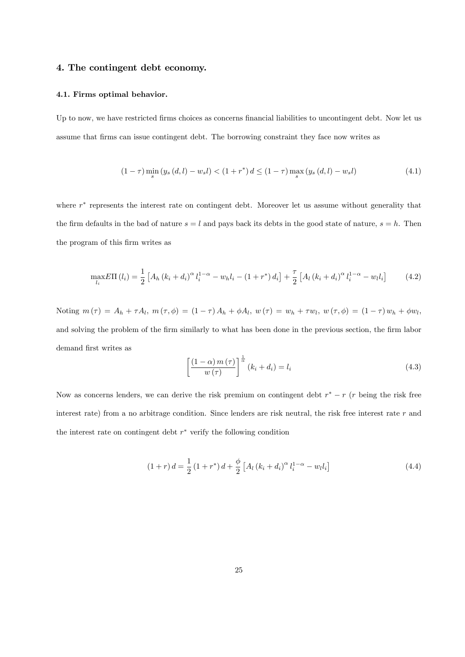# 4. The contingent debt economy.

#### 4.1. Firms optimal behavior.

Up to now, we have restricted firms choices as concerns financial liabilities to uncontingent debt. Now let us assume that firms can issue contingent debt. The borrowing constraint they face now writes as

$$
(1 - \tau) \min_{s} (y_s(d, l) - w_s l) < (1 + r^*) d \leq (1 - \tau) \max_{s} (y_s(d, l) - w_s l) \tag{4.1}
$$

where  $r^*$  represents the interest rate on contingent debt. Moreover let us assume without generality that the firm defaults in the bad of nature  $s = l$  and pays back its debts in the good state of nature,  $s = h$ . Then the program of this firm writes as

$$
\max_{l_i} E\Pi(l_i) = \frac{1}{2} \left[ A_h (k_i + d_i)^{\alpha} l_i^{1-\alpha} - w_h l_i - (1+r^*) d_i \right] + \frac{\tau}{2} \left[ A_l (k_i + d_i)^{\alpha} l_i^{1-\alpha} - w_l l_i \right] \tag{4.2}
$$

Noting  $m(\tau) = A_h + \tau A_l$ ,  $m(\tau, \phi) = (1 - \tau) A_h + \phi A_l$ ,  $w(\tau) = w_h + \tau w_l$ ,  $w(\tau, \phi) = (1 - \tau) w_h + \phi w_l$ , and solving the problem of the firm similarly to what has been done in the previous section, the firm labor demand first writes as

$$
\left[\frac{(1-\alpha)m(\tau)}{w(\tau)}\right]^{\frac{1}{\alpha}}(k_i+d_i)=l_i
$$
\n(4.3)

Now as concerns lenders, we can derive the risk premium on contingent debt  $r^* - r$  (r being the risk free interest rate) from a no arbitrage condition. Since lenders are risk neutral, the risk free interest rate  $r$  and the interest rate on contingent debt  $r^*$  verify the following condition

$$
(1+r) d = \frac{1}{2} (1+r^*) d + \frac{\phi}{2} [A_l (k_i + d_i)^{\alpha} l_i^{1-\alpha} - w_l l_i]
$$
\n(4.4)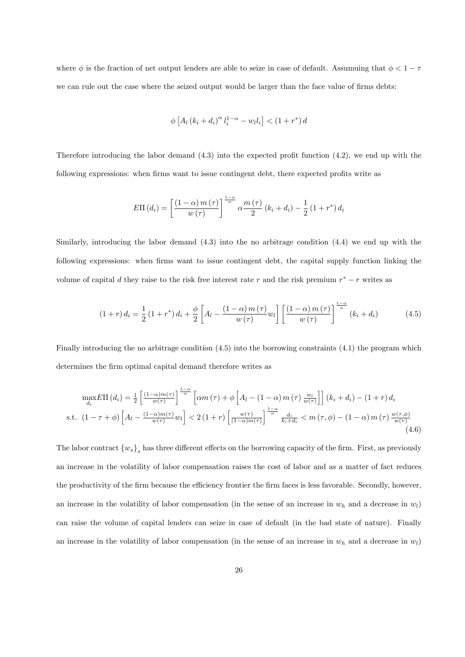where  $\phi$  is the fraction of net output lenders are able to seize in case of default. Assumuing that  $\phi < 1 - \tau$ we can rule out the case where the seized output would be larger than the face value of firms debts:

$$
\phi\left[A_l\left(k_i+d_i\right)^{\alpha}l_i^{1-\alpha}-w_l l_i\right]<\left(1+r^*\right)d
$$

Therefore introducing the labor demand  $(4.3)$  into the expected profit function  $(4.2)$ , we end up with the following expressions: when firms want to issue contingent debt, there expected profits write as

$$
E\Pi(d_i) = \left[\frac{(1-\alpha) m(\tau)}{w(\tau)}\right]^{\frac{1-\alpha}{\alpha}} \alpha \frac{m(\tau)}{2} (k_i + d_i) - \frac{1}{2} (1 + r^*) d_i
$$

Similarly, introducing the labor demand (4.3) into the no arbitrage condition (4.4) we end up with the following expressions: when firms want to issue contingent debt, the capital supply function linking the volume of capital d they raise to the risk free interest rate r and the risk premium  $r^* - r$  writes as

$$
(1+r) d_i = \frac{1}{2} (1+r^*) d_i + \frac{\phi}{2} \left[ A_l - \frac{(1-\alpha) m(\tau)}{w(\tau)} w_l \right] \left[ \frac{(1-\alpha) m(\tau)}{w(\tau)} \right]^{\frac{1-\alpha}{\alpha}} (k_i + d_i)
$$
(4.5)

Finally introducing the no arbitrage condition (4.5) into the borrowing constraints (4.1) the program which determines the firm optimal capital demand therefore writes as

$$
\max_{d_i} E\Pi(d_i) = \frac{1}{2} \left[ \frac{(1-\alpha)m(\tau)}{w(\tau)} \right]^{\frac{1-\alpha}{\alpha}} \left[ \alpha m(\tau) + \phi \left[ A_l - (1-\alpha) m(\tau) \frac{w_l}{w(\tau)} \right] \right] (k_i + d_i) - (1+r) d_i
$$
\n
$$
\text{s.t. } (1-\tau+\phi) \left[ A_l - \frac{(1-\alpha)m(\tau)}{w(\tau)} w_l \right] < 2(1+r) \left[ \frac{w(\tau)}{(1-\alpha)m(\tau)} \right]^{\frac{1-\alpha}{\alpha}} \frac{d_i}{k_i + d_i} < m(\tau,\phi) - (1-\alpha) m(\tau) \frac{w(\tau,\phi)}{w(\tau)} \tag{4.6}
$$

The labor contract  ${w_s}_s$  has three different effects on the borrowing capacity of the firm. First, as previously an increase in the volatility of labor compensation raises the cost of labor and as a matter of fact reduces the productivity of the firm because the efficiency frontier the firm faces is less favorable. Secondly, however, an increase in the volatility of labor compensation (in the sense of an increase in  $w_h$  and a decrease in  $w_l$ ) can raise the volume of capital lenders can seize in case of default (in the bad state of nature). Finally an increase in the volatility of labor compensation (in the sense of an increase in  $w_h$  and a decrease in  $w_l$ )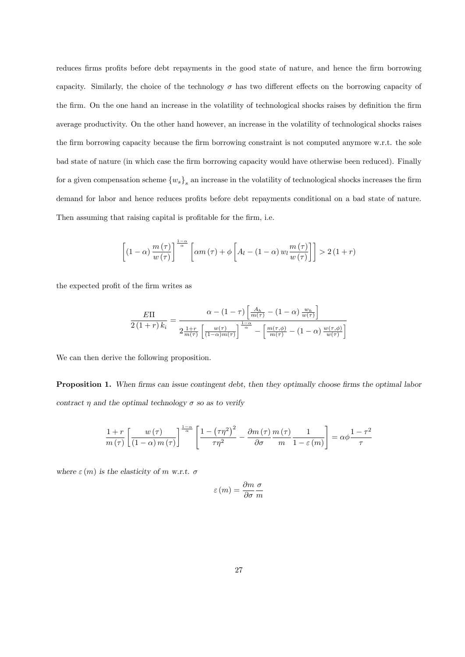reduces firms profits before debt repayments in the good state of nature, and hence the firm borrowing capacity. Similarly, the choice of the technology  $\sigma$  has two different effects on the borrowing capacity of the firm. On the one hand an increase in the volatility of technological shocks raises by definition the firm average productivity. On the other hand however, an increase in the volatility of technological shocks raises the firm borrowing capacity because the firm borrowing constraint is not computed anymore w.r.t. the sole bad state of nature (in which case the firm borrowing capacity would have otherwise been reduced). Finally for a given compensation scheme  $\{w_s\}_s$  an increase in the volatility of technological shocks increases the firm demand for labor and hence reduces profits before debt repayments conditional on a bad state of nature. Then assuming that raising capital is profitable for the firm, i.e.

$$
\left[ \left( 1 - \alpha \right) \frac{m \left( \tau \right)}{w \left( \tau \right)} \right]^{\frac{1 - \alpha}{\alpha}} \left[ \alpha m \left( \tau \right) + \phi \left[ A_l - \left( 1 - \alpha \right) w_l \frac{m \left( \tau \right)}{w \left( \tau \right)} \right] \right] > 2 \left( 1 + r \right)
$$

the expected profit of the firm writes as

$$
\frac{E\Pi}{2(1+r) k_i} = \frac{\alpha - (1-\tau) \left[ \frac{A_h}{m(\tau)} - (1-\alpha) \frac{w_h}{w(\tau)} \right]}{2 \frac{1+r}{m(\tau)} \left[ \frac{w(\tau)}{(1-\alpha)m(\tau)} \right]^{\frac{1-\alpha}{\alpha}} - \left[ \frac{m(\tau,\phi)}{m(\tau)} - (1-\alpha) \frac{w(\tau,\phi)}{w(\tau)} \right]}
$$

We can then derive the following proposition.

**Proposition 1.** When firms can issue contingent debt, then they optimally choose firms the optimal labor contract  $\eta$  and the optimal technology  $\sigma$  so as to verify

$$
\frac{1+r}{m(\tau)} \left[ \frac{w(\tau)}{(1-\alpha)m(\tau)} \right]^{\frac{1-\alpha}{\alpha}} \left[ \frac{1-\left(\tau\eta^2\right)^2}{\tau\eta^2} - \frac{\partial m(\tau)}{\partial \sigma} \frac{m(\tau)}{m} \frac{1}{1-\varepsilon(m)} \right] = \alpha \phi \frac{1-\tau^2}{\tau}
$$

where  $\varepsilon$  (*m*) is the elasticity of *m* w.r.t.  $\sigma$ 

$$
\varepsilon\left(m\right)=\frac{\partial m}{\partial\sigma}\frac{\sigma}{m}
$$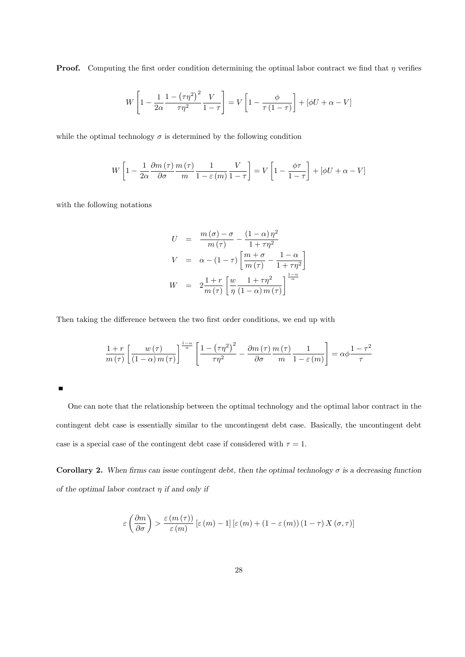**Proof.** Computing the first order condition determining the optimal labor contract we find that  $\eta$  verifies

$$
W\left[1 - \frac{1}{2\alpha} \frac{1 - \left(\tau \eta^2\right)^2}{\tau \eta^2} \frac{V}{1 - \tau}\right] = V\left[1 - \frac{\phi}{\tau \left(1 - \tau\right)}\right] + \left[\phi U + \alpha - V\right]
$$

while the optimal technology  $\sigma$  is determined by the following condition

$$
W\left[1 - \frac{1}{2\alpha} \frac{\partial m\left(\tau\right)}{\partial \sigma} \frac{m\left(\tau\right)}{m} \frac{1}{1 - \varepsilon(m)} \frac{V}{1 - \tau}\right] = V\left[1 - \frac{\phi\tau}{1 - \tau}\right] + \left[\phi U + \alpha - V\right]
$$

with the following notations

$$
U = \frac{m(\sigma) - \sigma}{m(\tau)} - \frac{(1 - \alpha)\eta^2}{1 + \tau \eta^2}
$$
  

$$
V = \alpha - (1 - \tau) \left[ \frac{m + \sigma}{m(\tau)} - \frac{1 - \alpha}{1 + \tau \eta^2} \right]
$$
  

$$
W = 2\frac{1 + r}{m(\tau)} \left[ \frac{w}{\eta} \frac{1 + \tau \eta^2}{(1 - \alpha) m(\tau)} \right]^{\frac{1 - \alpha}{\alpha}}
$$

Then taking the difference between the two first order conditions, we end up with

$$
\frac{1+r}{m(\tau)} \left[ \frac{w(\tau)}{(1-\alpha)m(\tau)} \right]^{\frac{1-\alpha}{\alpha}} \left[ \frac{1-\left(\tau\eta^2\right)^2}{\tau\eta^2} - \frac{\partial m(\tau)}{\partial \sigma} \frac{m(\tau)}{m} \frac{1}{1-\varepsilon(m)} \right] = \alpha \phi \frac{1-\tau^2}{\tau}
$$

One can note that the relationship between the optimal technology and the optimal labor contract in the contingent debt case is essentially similar to the uncontingent debt case. Basically, the uncontingent debt case is a special case of the contingent debt case if considered with  $\tau = 1$ .

Corollary 2. When firms can issue contingent debt, then the optimal technology  $\sigma$  is a decreasing function of the optimal labor contract  $\eta$  if and only if

$$
\varepsilon\left(\frac{\partial m}{\partial\sigma}\right) > \frac{\varepsilon\left(m\left(\tau\right)\right)}{\varepsilon\left(m\right)}\left[\varepsilon\left(m\right) - 1\right]\left[\varepsilon\left(m\right) + \left(1 - \varepsilon\left(m\right)\right)\left(1 - \tau\right)X\left(\sigma, \tau\right)\right]
$$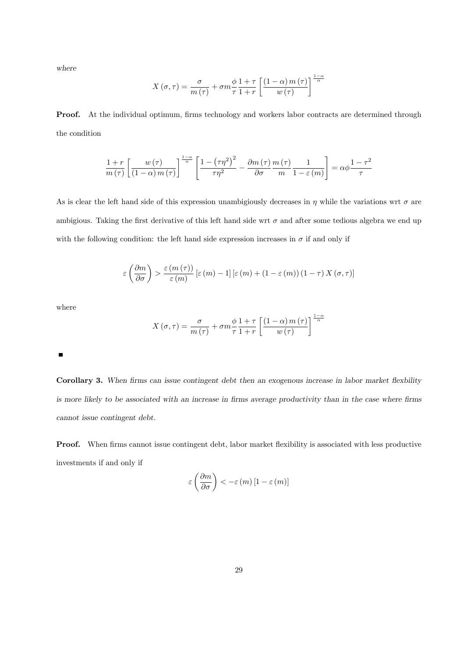where

$$
X(\sigma,\tau) = \frac{\sigma}{m(\tau)} + \sigma m \frac{\phi}{\tau} \frac{1+\tau}{1+r} \left[ \frac{(1-\alpha) m(\tau)}{w(\tau)} \right]^{\frac{1-\alpha}{\alpha}}
$$

Proof. At the individual optimum, firms technology and workers labor contracts are determined through the condition

$$
\frac{1+r}{m(\tau)} \left[ \frac{w(\tau)}{(1-\alpha)m(\tau)} \right]^{\frac{1-\alpha}{\alpha}} \left[ \frac{1-\left(\tau\eta^{2}\right)^{2}}{\tau\eta^{2}} - \frac{\partial m(\tau)}{\partial \sigma} \frac{m(\tau)}{m} \frac{1}{1-\varepsilon(m)} \right] = \alpha \phi \frac{1-\tau^{2}}{\tau}
$$

As is clear the left hand side of this expression unambigiously decreases in  $\eta$  while the variations wrt  $\sigma$  are ambigious. Taking the first derivative of this left hand side wrt  $\sigma$  and after some tedious algebra we end up with the following condition: the left hand side expression increases in  $\sigma$  if and only if

$$
\varepsilon\left(\frac{\partial m}{\partial \sigma}\right) > \frac{\varepsilon\left(m\left(\tau\right)\right)}{\varepsilon\left(m\right)} \left[\varepsilon\left(m\right) - 1\right] \left[\varepsilon\left(m\right) + \left(1 - \varepsilon\left(m\right)\right)\left(1 - \tau\right) X \left(\sigma, \tau\right)\right]
$$

where

$$
X(\sigma,\tau) = \frac{\sigma}{m(\tau)} + \sigma m \frac{\phi}{\tau} \frac{1+\tau}{1+r} \left[ \frac{(1-\alpha) m(\tau)}{w(\tau)} \right]^{\frac{1-\alpha}{\alpha}}
$$

 $\blacksquare$ 

Corollary 3. When firms can issue contingent debt then an exogenous increase in labor market flexibility is more likely to be associated with an increase in firms average productivity than in the case where firms cannot issue contingent debt.

**Proof.** When firms cannot issue contingent debt, labor market flexibility is associated with less productive investments if and only if

$$
\varepsilon\left(\frac{\partial m}{\partial \sigma}\right) < -\varepsilon(m)\left[1 - \varepsilon(m)\right]
$$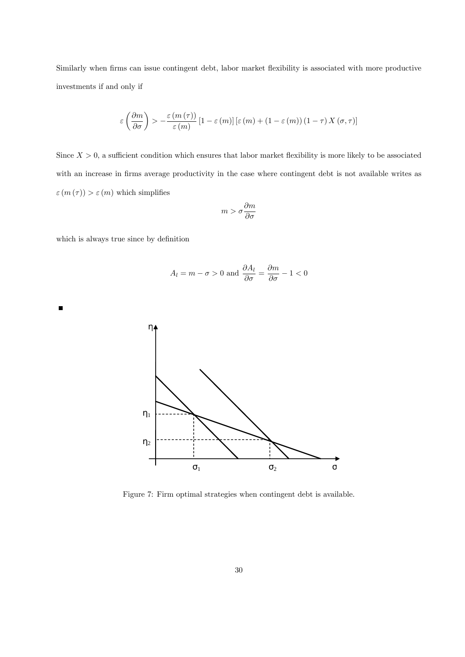Similarly when firms can issue contingent debt, labor market flexibility is associated with more productive investments if and only if

$$
\varepsilon\left(\frac{\partial m}{\partial \sigma}\right) > -\frac{\varepsilon(m(\tau))}{\varepsilon(m)}\left[1-\varepsilon(m)\right]\left[\varepsilon(m) + \left(1-\varepsilon(m)\right)\left(1-\tau\right)X(\sigma,\tau)\right]
$$

Since  $X > 0$ , a sufficient condition which ensures that labor market flexibility is more likely to be associated with an increase in firms average productivity in the case where contingent debt is not available writes as  $\varepsilon$   $(m(\tau)) > \varepsilon$   $(m)$  which simplifies

$$
m > \sigma \frac{\partial m}{\partial \sigma}
$$

which is always true since by definition

 $\blacksquare$ 

$$
A_l = m - \sigma > 0 \text{ and } \frac{\partial A_l}{\partial \sigma} = \frac{\partial m}{\partial \sigma} - 1 < 0
$$



Figure 7: Firm optimal strategies when contingent debt is available.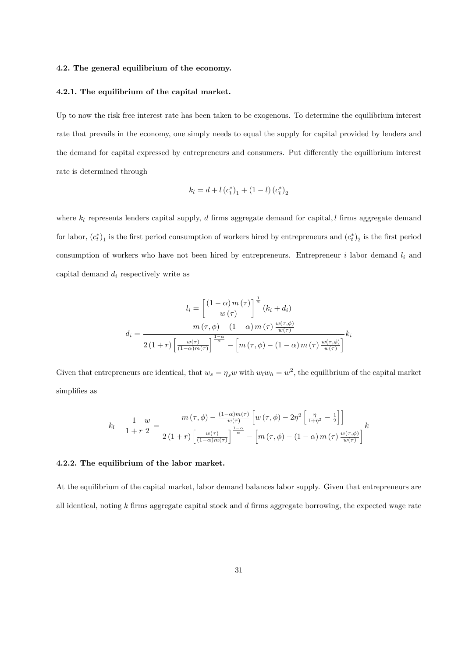### 4.2. The general equilibrium of the economy.

#### 4.2.1. The equilibrium of the capital market.

Up to now the risk free interest rate has been taken to be exogenous. To determine the equilibrium interest rate that prevails in the economy, one simply needs to equal the supply for capital provided by lenders and the demand for capital expressed by entrepreneurs and consumers. Put differently the equilibrium interest rate is determined through

$$
k_l = d + l (c_t^*)_1 + (1 - l) (c_t^*)_2
$$

where  $k_l$  represents lenders capital supply, d firms aggregate demand for capital, l firms aggregate demand for labor,  $(c_t^*)_1$  is the first period consumption of workers hired by entrepreneurs and  $(c_t^*)_2$  is the first period consumption of workers who have not been hired by entrepreneurs. Entrepreneur  $i$  labor demand  $l_i$  and capital demand  $d_i$  respectively write as

$$
l_i = \left[\frac{(1-\alpha) m(\tau)}{w(\tau)}\right]^{\frac{1}{\alpha}} (k_i + d_i)
$$

$$
d_i = \frac{m(\tau, \phi) - (1-\alpha) m(\tau) \frac{w(\tau, \phi)}{w(\tau)}}{2(1+r) \left[\frac{w(\tau)}{(1-\alpha)m(\tau)}\right]^{\frac{1-\alpha}{\alpha}} - \left[m(\tau, \phi) - (1-\alpha) m(\tau) \frac{w(\tau, \phi)}{w(\tau)}\right]} k_i
$$

Given that entrepreneurs are identical, that  $w_s = \eta_s w$  with  $w_l w_h = w^2$ , the equilibrium of the capital market simplifies as

$$
k_l - \frac{1}{1+r} \frac{w}{2} = \frac{m(\tau, \phi) - \frac{(1-\alpha)m(\tau)}{w(\tau)} \left[w(\tau, \phi) - 2\eta^2 \left[\frac{\eta}{1+\eta^2} - \frac{1}{2}\right]\right]}{2(1+r) \left[\frac{w(\tau)}{(1-\alpha)m(\tau)}\right]^{\frac{1-\alpha}{\alpha}} - \left[m(\tau, \phi) - (1-\alpha)m(\tau) \frac{w(\tau, \phi)}{w(\tau)}\right]} k
$$

#### 4.2.2. The equilibrium of the labor market.

At the equilibrium of the capital market, labor demand balances labor supply. Given that entrepreneurs are all identical, noting  $k$  firms aggregate capital stock and  $d$  firms aggregate borrowing, the expected wage rate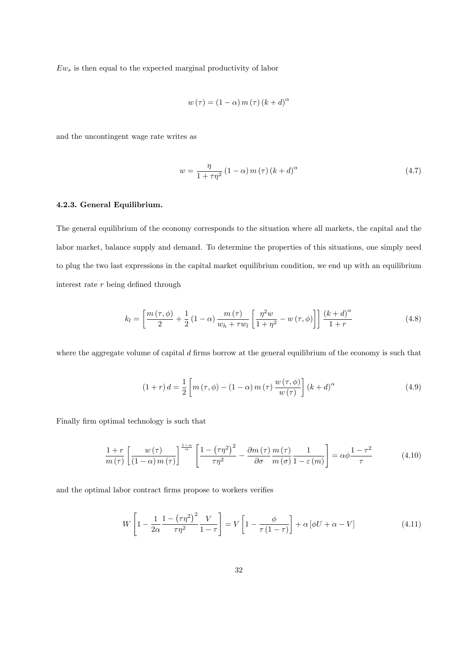$Ew_s$  is then equal to the expected marginal productivity of labor

$$
w(\tau) = (1 - \alpha) m(\tau) (k + d)^{\alpha}
$$

and the uncontingent wage rate writes as

$$
w = \frac{\eta}{1 + \tau \eta^2} \left( 1 - \alpha \right) m \left( \tau \right) \left( k + d \right)^{\alpha} \tag{4.7}
$$

# 4.2.3. General Equilibrium.

The general equilibrium of the economy corresponds to the situation where all markets, the capital and the labor market, balance supply and demand. To determine the properties of this situations, one simply need to plug the two last expressions in the capital market equilibrium condition, we end up with an equilibrium interest rate  $r$  being defined through

$$
k_l = \left[\frac{m\left(\tau,\phi\right)}{2} + \frac{1}{2}\left(1-\alpha\right)\frac{m\left(\tau\right)}{w_h + \tau w_l}\left[\frac{\eta^2 w}{1+\eta^2} - w\left(\tau,\phi\right)\right]\right] \frac{\left(k+d\right)^\alpha}{1+r} \tag{4.8}
$$

where the aggregate volume of capital  $d$  firms borrow at the general equilibrium of the economy is such that

$$
(1+r) d = \frac{1}{2} \left[ m(\tau, \phi) - (1-\alpha) m(\tau) \frac{w(\tau, \phi)}{w(\tau)} \right] (k+d)^{\alpha}
$$
 (4.9)

Finally firm optimal technology is such that

$$
\frac{1+r}{m(\tau)} \left[ \frac{w(\tau)}{(1-\alpha)m(\tau)} \right]^{\frac{1-\alpha}{\alpha}} \left[ \frac{1-\left(\tau\eta^{2}\right)^{2}}{\tau\eta^{2}} - \frac{\partial m(\tau)}{\partial\sigma} \frac{m(\tau)}{m(\sigma)} \frac{1}{1-\varepsilon(m)} \right] = \alpha\phi \frac{1-\tau^{2}}{\tau}
$$
(4.10)

and the optimal labor contract firms propose to workers verifies

$$
W\left[1 - \frac{1}{2\alpha} \frac{1 - \left(\tau \eta^2\right)^2}{\tau \eta^2} \frac{V}{1 - \tau}\right] = V\left[1 - \frac{\phi}{\tau(1 - \tau)}\right] + \alpha\left[\phi U + \alpha - V\right]
$$
\n(4.11)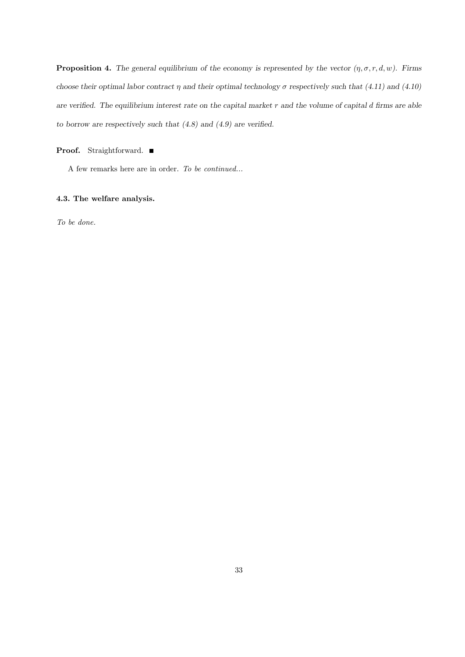**Proposition 4.** The general equilibrium of the economy is represented by the vector  $(\eta, \sigma, r, d, w)$ . Firms choose their optimal labor contract  $\eta$  and their optimal technology  $\sigma$  respectively such that (4.11) and (4.10) are verified. The equilibrium interest rate on the capital market  $r$  and the volume of capital d firms are able to borrow are respectively such that  $(4.8)$  and  $(4.9)$  are verified.

# Proof. Straightforward. ■

A few remarks here are in order. To be continued...

# 4.3. The welfare analysis.

To be done.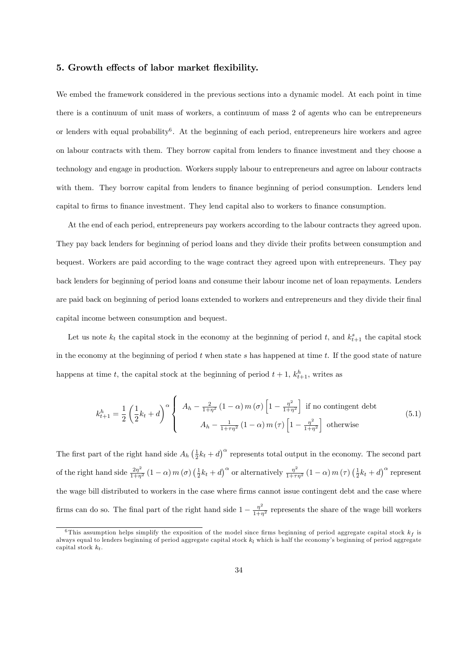# 5. Growth effects of labor market flexibility.

We embed the framework considered in the previous sections into a dynamic model. At each point in time there is a continuum of unit mass of workers, a continuum of mass 2 of agents who can be entrepreneurs or lenders with equal probability<sup>6</sup>. At the beginning of each period, entrepreneurs hire workers and agree on labour contracts with them. They borrow capital from lenders to Önance investment and they choose a technology and engage in production. Workers supply labour to entrepreneurs and agree on labour contracts with them. They borrow capital from lenders to finance beginning of period consumption. Lenders lend capital to Örms to Önance investment. They lend capital also to workers to Önance consumption.

At the end of each period, entrepreneurs pay workers according to the labour contracts they agreed upon. They pay back lenders for beginning of period loans and they divide their profits between consumption and bequest. Workers are paid according to the wage contract they agreed upon with entrepreneurs. They pay back lenders for beginning of period loans and consume their labour income net of loan repayments. Lenders are paid back on beginning of period loans extended to workers and entrepreneurs and they divide their final capital income between consumption and bequest.

Let us note  $k_t$  the capital stock in the economy at the beginning of period t, and  $k_{t+1}^s$  the capital stock in the economy at the beginning of period  $t$  when state  $s$  has happened at time  $t$ . If the good state of nature happens at time t, the capital stock at the beginning of period  $t + 1$ ,  $k_{t+1}^h$ , writes as

$$
k_{t+1}^{h} = \frac{1}{2} \left( \frac{1}{2} k_t + d \right)^{\alpha} \begin{cases} A_h - \frac{2}{1+\eta^2} \left( 1 - \alpha \right) m(\sigma) \left[ 1 - \frac{\eta^2}{1+\eta^2} \right] & \text{if no contingent debt} \\ A_h - \frac{1}{1+\eta^2} \left( 1 - \alpha \right) m(\tau) \left[ 1 - \frac{\eta^2}{1+\eta^2} \right] & \text{otherwise} \end{cases}
$$
(5.1)

The first part of the right hand side  $A_h(\frac{1}{2}k_t + d)^\alpha$  represents total output in the economy. The second part of the right hand side  $\frac{2\eta^2}{1+\eta^2}(1-\alpha) m(\sigma) (\frac{1}{2}k_t+d)^{\alpha}$  or alternatively  $\frac{\eta^2}{1+\tau\eta^2}(1-\alpha) m(\tau) (\frac{1}{2}k_t+d)^{\alpha}$  represent the wage bill distributed to workers in the case where Örms cannot issue contingent debt and the case where firms can do so. The final part of the right hand side  $1 - \frac{\eta^2}{1+\eta^2}$  represents the share of the wage bill workers

<sup>&</sup>lt;sup>6</sup>This assumption helps simplify the exposition of the model since firms beginning of period aggregate capital stock  $k_f$  is always equal to lenders beginning of period aggregate capital stock  $k_l$  which is half the economy's beginning of period aggregate capital stock  $k_t$ .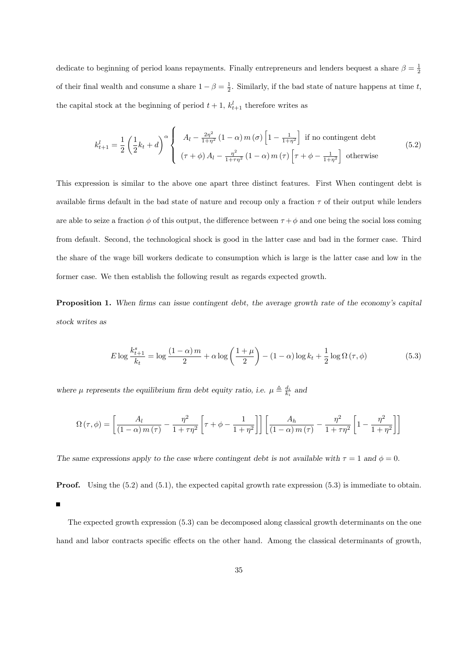dedicate to beginning of period loans repayments. Finally entrepreneurs and lenders bequest a share  $\beta = \frac{1}{2}$ of their final wealth and consume a share  $1 - \beta = \frac{1}{2}$ . Similarly, if the bad state of nature happens at time t, the capital stock at the beginning of period  $t + 1$ ,  $k_{t+1}^l$  therefore writes as

$$
k_{t+1}^{l} = \frac{1}{2} \left( \frac{1}{2} k_t + d \right)^{\alpha} \left\{ \begin{array}{l} A_l - \frac{2\eta^2}{1+\eta^2} \left( 1 - \alpha \right) m(\sigma) \left[ 1 - \frac{1}{1+\eta^2} \right] \text{ if no contingent debt} \\ (\tau + \phi) A_l - \frac{\eta^2}{1+\tau\eta^2} \left( 1 - \alpha \right) m(\tau) \left[ \tau + \phi - \frac{1}{1+\eta^2} \right] \text{ otherwise} \end{array} \right. \tag{5.2}
$$

This expression is similar to the above one apart three distinct features. First When contingent debt is available firms default in the bad state of nature and recoup only a fraction  $\tau$  of their output while lenders are able to seize a fraction  $\phi$  of this output, the difference between  $\tau + \phi$  and one being the social loss coming from default. Second, the technological shock is good in the latter case and bad in the former case. Third the share of the wage bill workers dedicate to consumption which is large is the latter case and low in the former case. We then establish the following result as regards expected growth.

Proposition 1. When firms can issue contingent debt, the average growth rate of the economy's capital stock writes as

$$
E \log \frac{k_{t+1}^s}{k_t} = \log \frac{(1-\alpha)m}{2} + \alpha \log \left(\frac{1+\mu}{2}\right) - (1-\alpha) \log k_t + \frac{1}{2} \log \Omega(\tau, \phi)
$$
(5.3)

where  $\mu$  represents the equilibrium firm debt equity ratio, i.e.  $\mu \triangleq \frac{d_i}{k_i}$  and

$$
\Omega\left(\tau,\phi\right) = \left[\frac{A_l}{\left(1-\alpha\right)m\left(\tau\right)} - \frac{\eta^2}{1+\tau\eta^2} \left[\tau + \phi - \frac{1}{1+\eta^2}\right] \right] \left[\frac{A_h}{\left(1-\alpha\right)m\left(\tau\right)} - \frac{\eta^2}{1+\tau\eta^2} \left[1 - \frac{\eta^2}{1+\eta^2}\right] \right]
$$

The same expressions apply to the case where contingent debt is not available with  $\tau = 1$  and  $\phi = 0$ .

**Proof.** Using the (5.2) and (5.1), the expected capital growth rate expression (5.3) is immediate to obtain.

The expected growth expression (5.3) can be decomposed along classical growth determinants on the one hand and labor contracts specific effects on the other hand. Among the classical determinants of growth,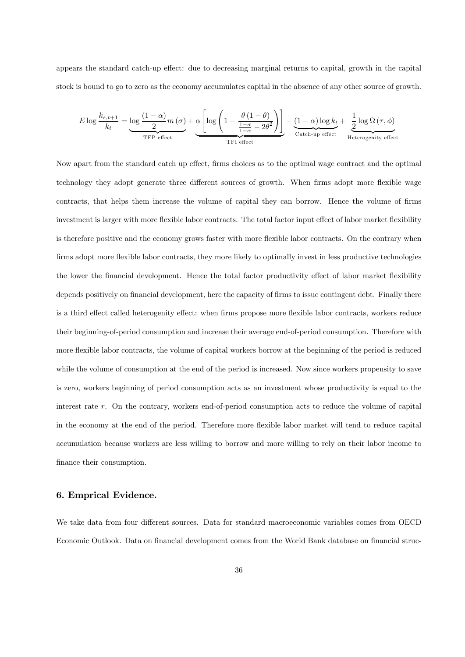appears the standard catch-up effect: due to decreasing marginal returns to capital, growth in the capital stock is bound to go to zero as the economy accumulates capital in the absence of any other source of growth.

$$
E \log \frac{k_{s,t+1}}{k_t} = \underbrace{\log \frac{(1-\alpha)}{2} m(\sigma)}_{\text{TFP effect}} + \underbrace{\alpha \left[ \log \left( 1 - \frac{\theta (1-\theta)}{\frac{1-\sigma}{1-\alpha} - 2\theta^2} \right) \right]}_{\text{TFI effect}} - \underbrace{(1-\alpha) \log k_t}_{\text{Catch-up effect}} + \underbrace{\frac{1}{2} \log \Omega (\tau, \phi)}_{\text{Heterogeneity effect}}
$$

Now apart from the standard catch up effect, firms choices as to the optimal wage contract and the optimal technology they adopt generate three different sources of growth. When firms adopt more flexible wage contracts, that helps them increase the volume of capital they can borrow. Hence the volume of firms investment is larger with more flexible labor contracts. The total factor input effect of labor market flexibility is therefore positive and the economy grows faster with more flexible labor contracts. On the contrary when firms adopt more flexible labor contracts, they more likely to optimally invest in less productive technologies the lower the financial development. Hence the total factor productivity effect of labor market flexibility depends positively on financial development, here the capacity of firms to issue contingent debt. Finally there is a third effect called heterogenity effect: when firms propose more flexible labor contracts, workers reduce their beginning-of-period consumption and increase their average end-of-period consumption. Therefore with more flexible labor contracts, the volume of capital workers borrow at the beginning of the period is reduced while the volume of consumption at the end of the period is increased. Now since workers propensity to save is zero, workers beginning of period consumption acts as an investment whose productivity is equal to the interest rate r. On the contrary, workers end-of-period consumption acts to reduce the volume of capital in the economy at the end of the period. Therefore more áexible labor market will tend to reduce capital accumulation because workers are less willing to borrow and more willing to rely on their labor income to finance their consumption.

# 6. Emprical Evidence.

We take data from four different sources. Data for standard macroeconomic variables comes from OECD Economic Outlook. Data on financial development comes from the World Bank database on financial struc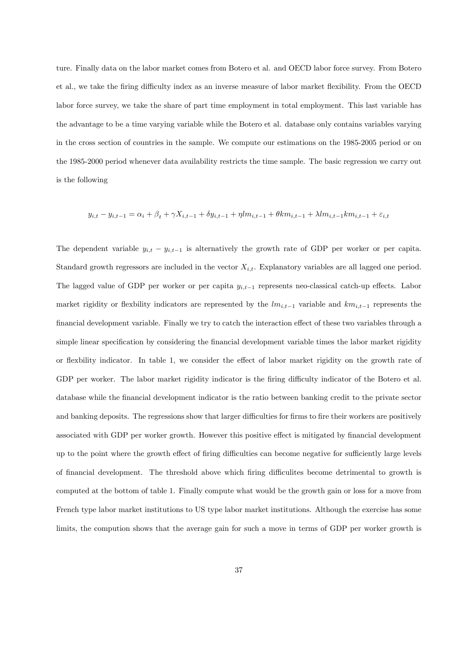ture. Finally data on the labor market comes from Botero et al. and OECD labor force survey. From Botero et al., we take the firing difficulty index as an inverse measure of labor market flexibility. From the OECD labor force survey, we take the share of part time employment in total employment. This last variable has the advantage to be a time varying variable while the Botero et al. database only contains variables varying in the cross section of countries in the sample. We compute our estimations on the 1985-2005 period or on the 1985-2000 period whenever data availability restricts the time sample. The basic regression we carry out is the following

$$
y_{i,t} - y_{i,t-1} = \alpha_i + \beta_t + \gamma X_{i,t-1} + \delta y_{i,t-1} + \eta l m_{i,t-1} + \theta k m_{i,t-1} + \lambda l m_{i,t-1} k m_{i,t-1} + \varepsilon_{i,t}
$$

The dependent variable  $y_{i,t} - y_{i,t-1}$  is alternatively the growth rate of GDP per worker or per capita. Standard growth regressors are included in the vector  $X_{i,t}$ . Explanatory variables are all lagged one period. The lagged value of GDP per worker or per capita  $y_{i,t-1}$  represents neo-classical catch-up effects. Labor market rigidity or flexiblity indicators are represented by the  $lm_{i,t-1}$  variable and  $km_{i,t-1}$  represents the financial development variable. Finally we try to catch the interaction effect of these two variables through a simple linear specification by considering the financial development variable times the labor market rigidity or flexibility indicator. In table 1, we consider the effect of labor market rigidity on the growth rate of GDP per worker. The labor market rigidity indicator is the firing difficulty indicator of the Botero et al. database while the Önancial development indicator is the ratio between banking credit to the private sector and banking deposits. The regressions show that larger difficulties for firms to fire their workers are positively associated with GDP per worker growth. However this positive effect is mitigated by financial development up to the point where the growth effect of firing difficulties can become negative for sufficiently large levels of financial development. The threshold above which firing difficulites become detrimental to growth is computed at the bottom of table 1. Finally compute what would be the growth gain or loss for a move from French type labor market institutions to US type labor market institutions. Although the exercise has some limits, the compution shows that the average gain for such a move in terms of GDP per worker growth is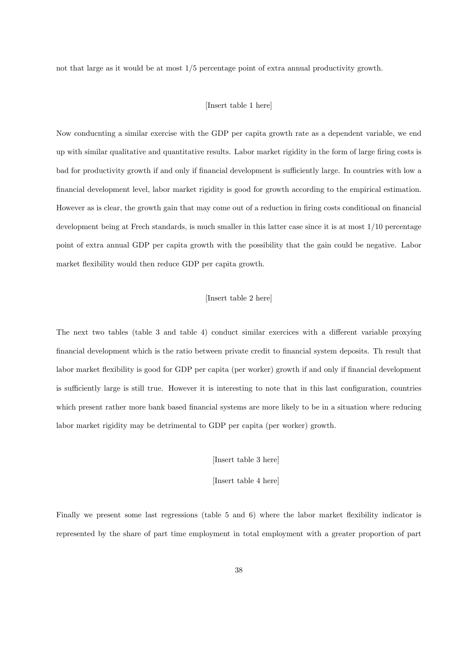not that large as it would be at most 1/5 percentage point of extra annual productivity growth.

### [Insert table 1 here]

Now conducnting a similar exercise with the GDP per capita growth rate as a dependent variable, we end up with similar qualitative and quantitative results. Labor market rigidity in the form of large firing costs is bad for productivity growth if and only if financial development is sufficiently large. In countries with low a Önancial development level, labor market rigidity is good for growth according to the empirical estimation. However as is clear, the growth gain that may come out of a reduction in firing costs conditional on financial development being at Frech standards, is much smaller in this latter case since it is at most 1/10 percentage point of extra annual GDP per capita growth with the possibility that the gain could be negative. Labor market flexibility would then reduce GDP per capita growth.

# [Insert table 2 here]

The next two tables (table 3 and table 4) conduct similar exercices with a different variable proxying Önancial development which is the ratio between private credit to Önancial system deposits. Th result that labor market flexibility is good for GDP per capita (per worker) growth if and only if financial development is sufficiently large is still true. However it is interesting to note that in this last configuration, countries which present rather more bank based financial systems are more likely to be in a situation where reducing labor market rigidity may be detrimental to GDP per capita (per worker) growth.

[Insert table 3 here]

[Insert table 4 here]

Finally we present some last regressions (table 5 and 6) where the labor market flexibility indicator is represented by the share of part time employment in total employment with a greater proportion of part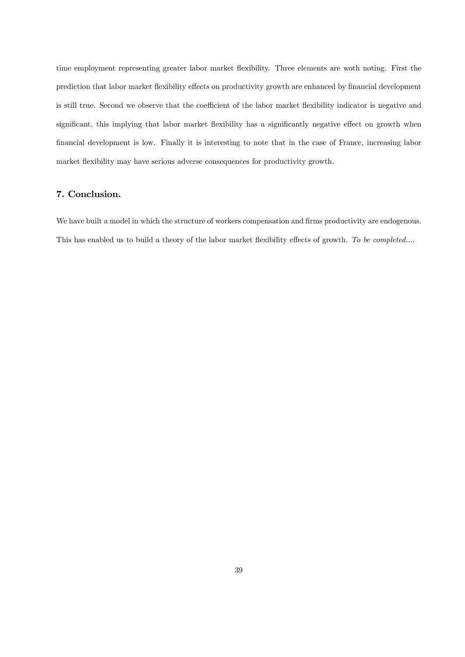time employment representing greater labor market flexibility. Three elements are woth noting. First the prediction that labor market flexibility effects on productivity growth are enhanced by financial development is still true. Second we observe that the coefficient of the labor market flexibility indicator is negative and significant, this implying that labor market flexibility has a significantly negative effect on growth when Önancial development is low. Finally it is interesting to note that in the case of France, increasing labor market flexibility may have serious adverse consequences for productivity growth.

# 7. Conclusion.

We have built a model in which the structure of workers compensation and firms productivity are endogenous. This has enabled us to build a theory of the labor market flexibility effects of growth. To be completed....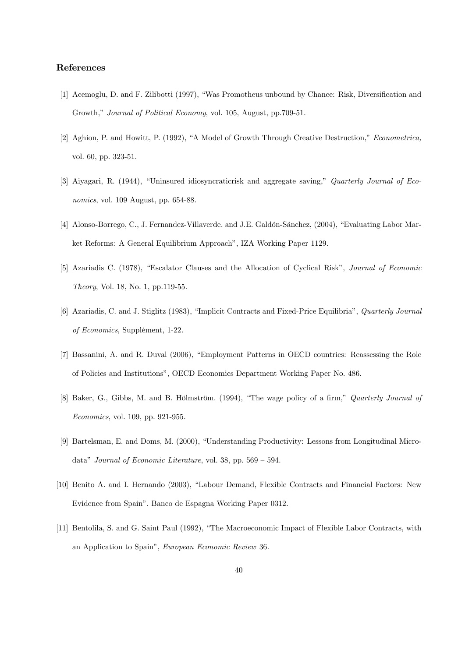# References

- [1] Acemoglu, D. and F. Zilibotti (1997), "Was Promotheus unbound by Chance: Risk, Diversification and Growth," Journal of Political Economy, vol. 105, August, pp.709-51.
- [2] Aghion, P. and Howitt, P. (1992), "A Model of Growth Through Creative Destruction," Econometrica, vol. 60, pp. 323-51.
- [3] Aiyagari, R. (1944), "Uninsured idiosyncraticrisk and aggregate saving," Quarterly Journal of Economics, vol. 109 August, pp. 654-88.
- [4] Alonso-Borrego, C., J. Fernandez-Villaverde. and J.E. Galdón-Sánchez, (2004), "Evaluating Labor Market Reforms: A General Equilibrium Approach", IZA Working Paper 1129.
- [5] Azariadis C. (1978), "Escalator Clauses and the Allocation of Cyclical Risk", *Journal of Economic* Theory, Vol. 18, No. 1, pp.119-55.
- [6] Azariadis, C. and J. Stiglitz (1983), "Implicit Contracts and Fixed-Price Equilibria", Quarterly Journal of Economics, Supplément, 1-22.
- [7] Bassanini, A. and R. Duval (2006), "Employment Patterns in OECD countries: Reassessing the Role of Policies and Institutionsî, OECD Economics Department Working Paper No. 486.
- [8] Baker, G., Gibbs, M. and B. Hölmström. (1994), "The wage policy of a firm," Quarterly Journal of Economics, vol. 109, pp. 921-955.
- [9] Bartelsman, E. and Doms, M. (2000), "Understanding Productivity: Lessons from Longitudinal Microdata" Journal of Economic Literature, vol. 38, pp.  $569 - 594$ .
- [10] Benito A. and I. Hernando (2003), "Labour Demand, Flexible Contracts and Financial Factors: New Evidence from Spainî. Banco de Espagna Working Paper 0312.
- [11] Bentolila, S. and G. Saint Paul (1992), "The Macroeconomic Impact of Flexible Labor Contracts, with an Application to Spain", European Economic Review 36.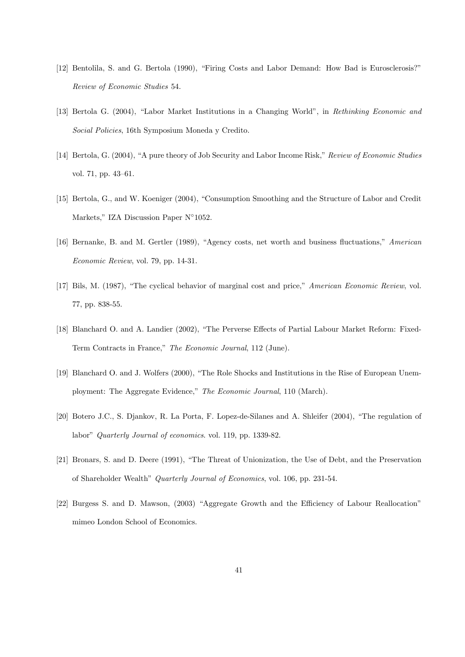- [12] Bentolila, S. and G. Bertola (1990), "Firing Costs and Labor Demand: How Bad is Eurosclerosis?" Review of Economic Studies 54.
- [13] Bertola G. (2004), "Labor Market Institutions in a Changing World", in Rethinking Economic and Social Policies, 16th Symposium Moneda y Credito.
- [14] Bertola, G. (2004), "A pure theory of Job Security and Labor Income Risk," Review of Economic Studies vol. 71, pp. 43-61.
- [15] Bertola, G., and W. Koeniger (2004), "Consumption Smoothing and the Structure of Labor and Credit Markets," IZA Discussion Paper  $N^{\circ}1052$ .
- [16] Bernanke, B. and M. Gertler (1989), "Agency costs, net worth and business fluctuations," American Economic Review, vol. 79, pp. 14-31.
- [17] Bils, M. (1987), "The cyclical behavior of marginal cost and price," American Economic Review, vol. 77, pp. 838-55.
- [18] Blanchard O. and A. Landier (2002), "The Perverse Effects of Partial Labour Market Reform: Fixed-Term Contracts in France," The Economic Journal, 112 (June).
- [19] Blanchard O. and J. Wolfers (2000), "The Role Shocks and Institutions in the Rise of European Unemployment: The Aggregate Evidence," The Economic Journal, 110 (March).
- [20] Botero J.C., S. Djankov, R. La Porta, F. Lopez-de-Silanes and A. Shleifer (2004), "The regulation of labor" Quarterly Journal of economics. vol. 119, pp. 1339-82.
- [21] Bronars, S. and D. Deere (1991), "The Threat of Unionization, the Use of Debt, and the Preservation of Shareholder Wealth<sup>"</sup> Quarterly Journal of Economics, vol. 106, pp. 231-54.
- [22] Burgess S. and D. Mawson, (2003) "Aggregate Growth and the Efficiency of Labour Reallocation" mimeo London School of Economics.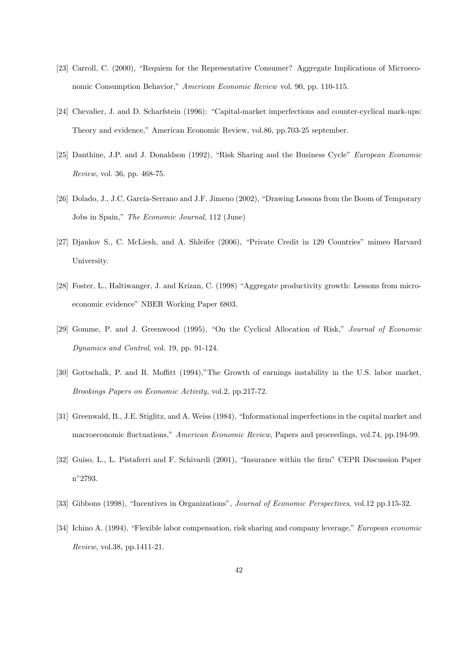- [23] Carroll, C. (2000), "Requiem for the Representative Consumer? Aggregate Implications of Microeconomic Consumption Behavior," American Economic Review vol. 90, pp. 110-115.
- [24] Chevalier, J. and D. Scharfstein (1996): "Capital-market imperfections and counter-cyclical mark-ups: Theory and evidence," American Economic Review, vol.86, pp.703-25 september.
- [25] Danthine, J.P. and J. Donaldson (1992), "Risk Sharing and the Business Cycle" European Economic Review, vol. 36, pp. 468-75.
- [26] Dolado, J., J.C. García-Serrano and J.F. Jimeno (2002), "Drawing Lessons from the Boom of Temporary Jobs in Spain," The Economic Journal, 112 (June)
- [27] Djankov S., C. McLiesh, and A. Shleifer (2006), "Private Credit in 129 Countries" mimeo Harvard University.
- [28] Foster, L., Haltiwanger, J. and Krizan, C. (1998) "Aggregate productivity growth: Lessons from microeconomic evidence" NBER Working Paper 6803.
- [29] Gomme, P. and J. Greenwood (1995), "On the Cyclical Allocation of Risk," Journal of Economic Dynamics and Control, vol. 19, pp. 91-124.
- [30] Gottschalk, P. and R. Moffitt (1994),"The Growth of earnings instability in the U.S. labor market, Brookings Papers on Economic Activity, vol.2, pp.217-72.
- [31] Greenwald, B., J.E. Stiglitz, and A. Weiss (1984), "Informational imperfections in the capital market and macroeconomic fluctuations," American Economic Review, Papers and proceedings, vol.74, pp.194-99.
- [32] Guiso, L., L. Pistaferri and F. Schivardi (2001), "Insurance within the firm" CEPR Discussion Paper n 2793.
- [33] Gibbons (1998), "Incentives in Organizations", *Journal of Economic Perspectives*, vol.12 pp.115-32.
- [34] Ichino A. (1994), "Flexible labor compensation, risk sharing and company leverage," *European economic* Review, vol.38, pp.1411-21.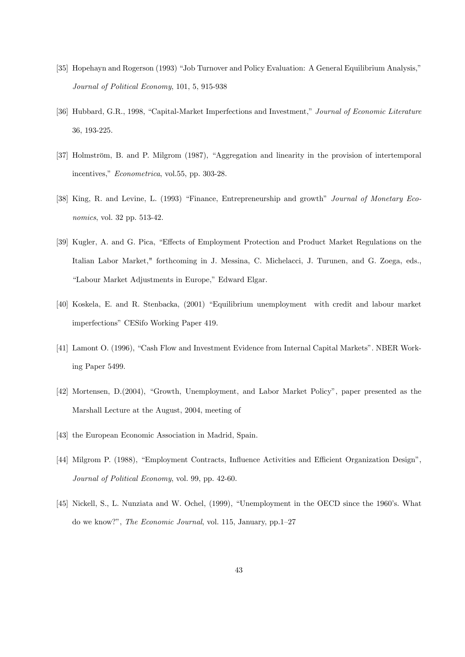- [35] Hopehayn and Rogerson (1993) "Job Turnover and Policy Evaluation: A General Equilibrium Analysis," Journal of Political Economy, 101, 5, 915-938
- [36] Hubbard, G.R., 1998, "Capital-Market Imperfections and Investment," Journal of Economic Literature 36, 193-225.
- [37] Holmström, B. and P. Milgrom (1987), "Aggregation and linearity in the provision of intertemporal incentives," Econometrica, vol.55, pp. 303-28.
- [38] King, R. and Levine, L. (1993) "Finance, Entrepreneurship and growth" Journal of Monetary Economics, vol. 32 pp. 513-42.
- [39] Kugler, A. and G. Pica, "Effects of Employment Protection and Product Market Regulations on the Italian Labor Market," forthcoming in J. Messina, C. Michelacci, J. Turunen, and G. Zoega, eds., "Labour Market Adjustments in Europe," Edward Elgar.
- [40] Koskela, E. and R. Stenbacka, (2001) "Equilibrium unemployment with credit and labour market imperfections" CESifo Working Paper 419.
- [41] Lamont O. (1996), "Cash Flow and Investment Evidence from Internal Capital Markets". NBER Working Paper 5499.
- [42] Mortensen, D.(2004), "Growth, Unemployment, and Labor Market Policy", paper presented as the Marshall Lecture at the August, 2004, meeting of
- [43] the European Economic Association in Madrid, Spain.
- [44] Milgrom P. (1988), "Employment Contracts, Influence Activities and Efficient Organization Design". Journal of Political Economy, vol. 99, pp. 42-60.
- [45] Nickell, S., L. Nunziata and W. Ochel, (1999), "Unemployment in the OECD since the 1960's. What do we know?", The Economic Journal, vol. 115, January, pp.  $1-27$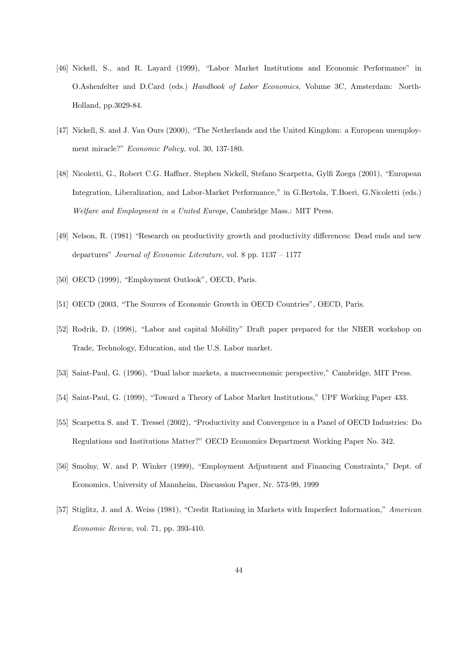- [46] Nickell, S., and R. Layard (1999), "Labor Market Institutions and Economic Performance" in O.Ashenfelter and D.Card (eds.) Handbook of Labor Economics, Volume 3C, Amsterdam: North-Holland, pp.3029-84.
- [47] Nickell, S. and J. Van Ours (2000), "The Netherlands and the United Kingdom: a European unemployment miracle?" Economic Policy, vol. 30, 137-180.
- [48] Nicoletti, G., Robert C.G. Haffner, Stephen Nickell, Stefano Scarpetta, Gylfi Zoega (2001), "European Integration, Liberalization, and Labor-Market Performance," in G.Bertola, T.Boeri, G.Nicoletti (eds.) Welfare and Employment in a United Europe, Cambridge Mass.: MIT Press.
- [49] Nelson, R. (1981) "Research on productivity growth and productivity differences: Dead ends and new departures" Journal of Economic Literature, vol. 8 pp.  $1137 - 1177$
- [50] OECD (1999), "Employment Outlook", OECD, Paris.
- [51] OECD (2003, "The Sources of Economic Growth in OECD Countries", OECD, Paris.
- [52] Rodrik, D. (1998), "Labor and capital Mobility" Draft paper prepared for the NBER workshop on Trade, Technology, Education, and the U.S. Labor market.
- [53] Saint-Paul, G. (1996), "Dual labor markets, a macroeconomic perspective," Cambridge, MIT Press.
- [54] Saint-Paul, G. (1999), "Toward a Theory of Labor Market Institutions," UPF Working Paper 433.
- [55] Scarpetta S. and T. Tressel (2002), "Productivity and Convergence in a Panel of OECD Industries: Do Regulations and Institutions Matter?" OECD Economics Department Working Paper No. 342.
- [56] Smolny, W. and P. Winker (1999), "Employment Adjustment and Financing Constraints," Dept. of Economics, University of Mannheim, Discussion Paper, Nr. 573-99, 1999
- [57] Stiglitz, J. and A. Weiss (1981), "Credit Rationing in Markets with Imperfect Information," American Economic Review, vol. 71, pp. 393-410.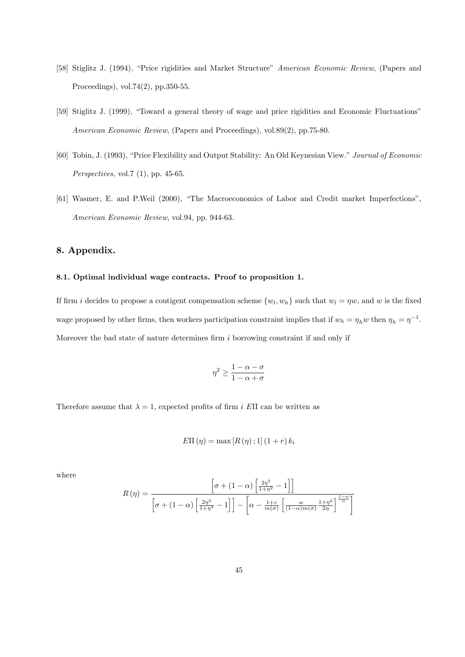- [58] Stiglitz J. (1994), "Price rigidities and Market Structure" American Economic Review, (Papers and Proceedings), vol.74(2), pp.350-55.
- [59] Stiglitz J. (1999), "Toward a general theory of wage and price rigidities and Economic Fluctuations" American Economic Review, (Papers and Proceedings), vol.89(2), pp.75-80.
- [60] Tobin, J. (1993), "Price Flexibility and Output Stability: An Old Keynesian View." Journal of Economic Perspectives, vol.7 (1), pp. 45-65.
- [61] Wasmer, E. and P.Weil (2000), "The Macroeconomics of Labor and Credit market Imperfections", American Economic Review, vol.94, pp. 944-63.

# 8. Appendix.

# 8.1. Optimal individual wage contracts. Proof to proposition 1.

If firm i decides to propose a contigent compensation scheme  $\{w_l, w_h\}$  such that  $w_l = \eta w$ , and w is the fixed wage proposed by other firms, then workers participation constraint implies that if  $w_h = \eta_h w$  then  $\eta_h = \eta^{-1}$ . Moreover the bad state of nature determines firm  $i$  borrowing constraint if and only if

$$
\eta^2 \ge \frac{1-\alpha-\sigma}{1-\alpha+\sigma}
$$

Therefore assume that  $\lambda = 1$ , expected profits of firm i EII can be written as

$$
E\Pi(\eta) = \max\left[R(\eta);1\right](1+r) k_i
$$

where

$$
R(\eta) = \frac{\left[\sigma + (1 - \alpha) \left[\frac{2\eta^2}{1 + \eta^2} - 1\right]\right]}{\left[\sigma + (1 - \alpha) \left[\frac{2\eta^2}{1 + \eta^2} - 1\right]\right] - \left[\alpha - \frac{1 + r}{m(\sigma)} \left[\frac{w}{(1 - \alpha)m(\sigma)} \frac{1 + \eta^2}{2\eta}\right]^{\frac{1 - \alpha}{\alpha}}\right]}
$$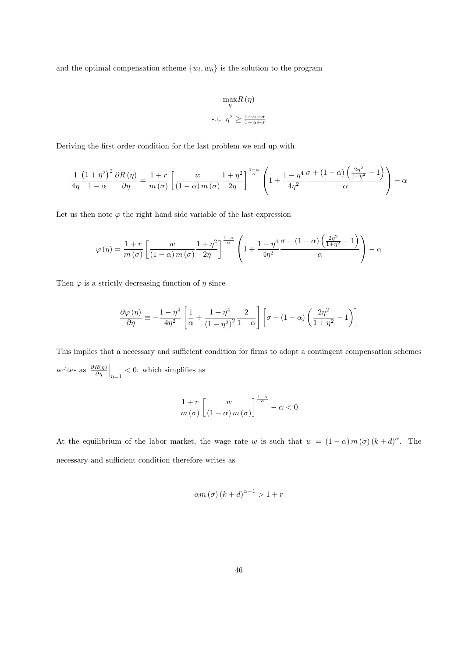and the optimal compensation scheme  $\{w_l, w_h\}$  is the solution to the program

$$
\max_{\eta} R(\eta)
$$
  
s.t. 
$$
\eta^2 \ge \frac{1-\alpha-\sigma}{1-\alpha+\sigma}
$$

Deriving the first order condition for the last problem we end up with

$$
\frac{1}{4\eta} \frac{\left(1+\eta^2\right)^2}{1-\alpha} \frac{\partial R\left(\eta\right)}{\partial \eta} = \frac{1+r}{m\left(\sigma\right)} \left[ \frac{w}{\left(1-\alpha\right)m\left(\sigma\right)} \frac{1+\eta^2}{2\eta} \right]^{\frac{1-\alpha}{\alpha}} \left(1 + \frac{1-\eta^4}{4\eta^2} \frac{\sigma + \left(1-\alpha\right)\left(\frac{2\eta^2}{1+\eta^2} - 1\right)}{\alpha}\right) - \alpha
$$

Let us then note  $\varphi$  the right hand side variable of the last expression

$$
\varphi(\eta) = \frac{1+r}{m(\sigma)} \left[ \frac{w}{(1-\alpha)m(\sigma)} \frac{1+\eta^2}{2\eta} \right]^{\frac{1-\alpha}{\alpha}} \left( 1 + \frac{1-\eta^4}{4\eta^2} \frac{\sigma + (1-\alpha)\left(\frac{2\eta^2}{1+\eta^2} - 1\right)}{\alpha} \right) - \alpha
$$

Then  $\varphi$  is a strictly decreasing function of  $\eta$  since

$$
\frac{\partial \varphi(\eta)}{\partial \eta} \equiv -\frac{1-\eta^4}{4\eta^2} \left[ \frac{1}{\alpha} + \frac{1+\eta^4}{\left(1-\eta^2\right)^2} \frac{2}{1-\alpha} \right] \left[ \sigma + (1-\alpha) \left( \frac{2\eta^2}{1+\eta^2} - 1 \right) \right]
$$

This implies that a necessary and sufficient condition for firms to adopt a contingent compensation schemes writes as  $\frac{\partial R(\eta)}{\partial \eta}$  $\Big|_{\eta=1}$  < 0. which simplifies as

$$
\frac{1+r}{m(\sigma)} \left[ \frac{w}{(1-\alpha)m(\sigma)} \right]^{\frac{1-\alpha}{\alpha}} - \alpha < 0
$$

At the equilibrium of the labor market, the wage rate w is such that  $w = (1 - \alpha) m(\sigma) (k + d)^{\alpha}$ . The necessary and sufficient condition therefore writes as

$$
\alpha m\left(\sigma\right)\left(k+d\right)^{\alpha-1} > 1+r
$$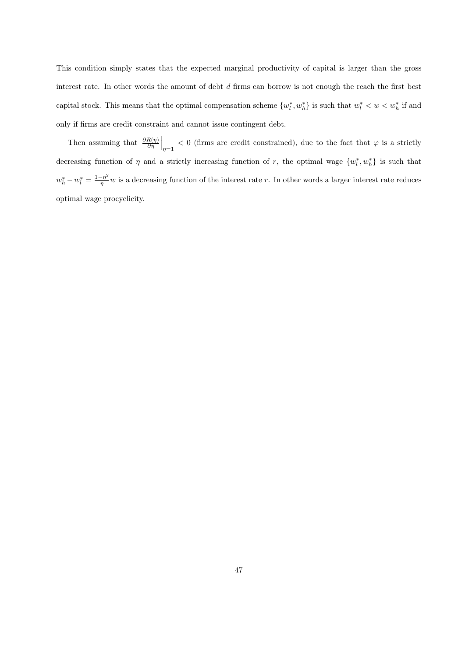This condition simply states that the expected marginal productivity of capital is larger than the gross interest rate. In other words the amount of debt  $d$  firms can borrow is not enough the reach the first best capital stock. This means that the optimal compensation scheme  $\{w_l^*, w_h^*\}$  is such that  $w_l^* < w < w_h^*$  if and only if Örms are credit constraint and cannot issue contingent debt.

Then assuming that  $\frac{\partial R(\eta)}{\partial \eta}$  $\Big|_{\eta=1}$  < 0 (firms are credit constrained), due to the fact that  $\varphi$  is a strictly decreasing function of  $\eta$  and a strictly increasing function of r, the optimal wage  $\{w_l^*, w_h^*\}$  is such that  $w_h^* - w_l^* = \frac{1 - \eta^2}{\eta}$  $\frac{-\eta}{\eta}w$  is a decreasing function of the interest rate r. In other words a larger interest rate reduces optimal wage procyclicity.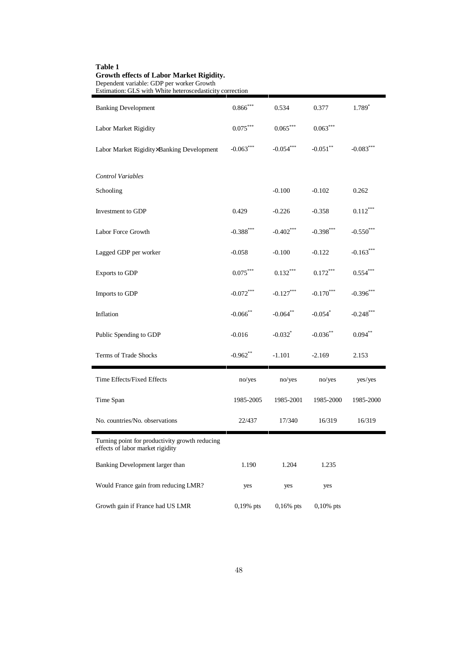| Estimation: GLS with White heteroscedasticity correction                           |             |             |              |              |
|------------------------------------------------------------------------------------|-------------|-------------|--------------|--------------|
| <b>Banking Development</b>                                                         | $0.866$ *** | 0.534       | 0.377        | 1.789*       |
| Labor Market Rigidity                                                              | $0.075***$  | $0.065***$  | $0.063***$   |              |
| Labor Market Rigidity×Banking Development                                          | $-0.063***$ | $-0.054***$ | $-0.051$ **  | $-0.083***$  |
| Control Variables                                                                  |             |             |              |              |
| Schooling                                                                          |             | $-0.100$    | $-0.102$     | 0.262        |
| Investment to GDP                                                                  | 0.429       | $-0.226$    | $-0.358$     | $0.112***$   |
| Labor Force Growth                                                                 | $-0.388***$ | $-0.402***$ | $-0.398$ *** | $-0.550$ *** |
| Lagged GDP per worker                                                              | $-0.058$    | $-0.100$    | $-0.122$     | $-0.163***$  |
| Exports to GDP                                                                     | $0.075***$  | $0.132***$  | $0.172***$   | $0.554***$   |
| Imports to GDP                                                                     | $-0.072***$ | $-0.127***$ | $-0.170***$  | $-0.396***$  |
| Inflation                                                                          | $-0.066$ ** | $-0.064**$  | $-0.054$ *   | $-0.248$ *** |
| Public Spending to GDP                                                             | $-0.016$    | $-0.032$ *  | $-0.036$ **  | $0.094**$    |
| Terms of Trade Shocks                                                              | $-0.962$ ** | $-1.101$    | $-2.169$     | 2.153        |
| Time Effects/Fixed Effects                                                         | no/yes      | no/yes      | no/yes       | yes/yes      |
| Time Span                                                                          | 1985-2005   | 1985-2001   | 1985-2000    | 1985-2000    |
| No. countries/No. observations                                                     | 22/437      | 17/340      | 16/319       | 16/319       |
| Turning point for productivity growth reducing<br>effects of labor market rigidity |             |             |              |              |
| Banking Development larger than                                                    | 1.190       | 1.204       | 1.235        |              |
| Would France gain from reducing LMR?                                               | yes         | yes         | yes          |              |
| Growth gain if France had US LMR                                                   | 0,19% pts   | $0,16%$ pts | $0,10\%$ pts |              |

# **Table 1 Growth effects of Labor Market Rigidity.**

Dependent variable: GDP per worker Growth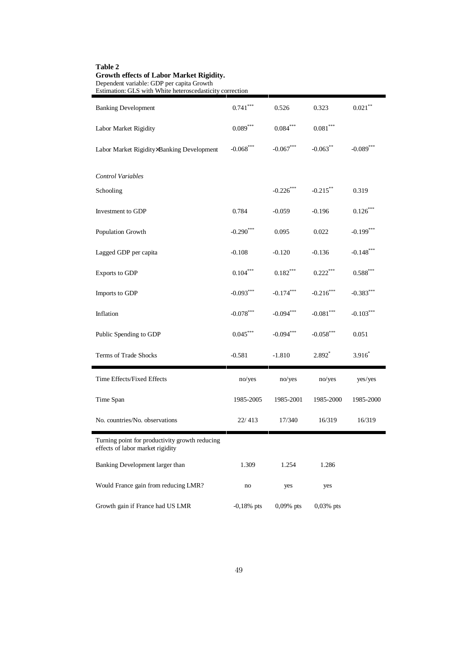| Estimation: GLS with White heteroscedasticity correction                           |              |                        |                        |                        |
|------------------------------------------------------------------------------------|--------------|------------------------|------------------------|------------------------|
| <b>Banking Development</b>                                                         | $0.741***$   | 0.526                  | 0.323                  | $0.021***$             |
| Labor Market Rigidity                                                              | $0.089***$   | $0.084^{\ast\ast\ast}$ | $0.081^{\ast\ast\ast}$ |                        |
| Labor Market Rigidity×Banking Development                                          | $-0.068***$  | $-0.067***$            | $-0.063***$            | $-0.089***$            |
| Control Variables                                                                  |              |                        |                        |                        |
| Schooling                                                                          |              | $-0.226***$            | $-0.215***$            | 0.319                  |
| Investment to GDP                                                                  | 0.784        | $-0.059$               | $-0.196$               | $0.126***$             |
| Population Growth                                                                  | $-0.290$ *** | 0.095                  | 0.022                  | $-0.199$ ***           |
| Lagged GDP per capita                                                              | $-0.108$     | $-0.120$               | $-0.136$               | $-0.148$ ***           |
| Exports to GDP                                                                     | $0.104***$   | $0.182***$             | $0.222***$             | $0.588^{\ast\ast\ast}$ |
| Imports to GDP                                                                     | $-0.093***$  | $-0.174***$            | $-0.216***$            | $-0.383***$            |
| Inflation                                                                          | $-0.078***$  | $-0.094***$            | $-0.081***$            | $-0.103***$            |
| Public Spending to GDP                                                             | $0.045***$   | $-0.094***$            | $-0.058$ ***           | 0.051                  |
| Terms of Trade Shocks                                                              | $-0.581$     | $-1.810$               | $2.892*$               | $3.916*$               |
| Time Effects/Fixed Effects                                                         | no/yes       | no/yes                 | no/yes                 | yes/yes                |
| Time Span                                                                          | 1985-2005    | 1985-2001              | 1985-2000              | 1985-2000              |
| No. countries/No. observations                                                     | 22/413       | 17/340                 | 16/319                 | 16/319                 |
| Turning point for productivity growth reducing<br>effects of labor market rigidity |              |                        |                        |                        |
| Banking Development larger than                                                    | 1.309        | 1.254                  | 1.286                  |                        |
| Would France gain from reducing LMR?                                               | no           | yes                    | yes                    |                        |
| Growth gain if France had US LMR                                                   | $-0,18%$ pts | 0,09% pts              | $0,03\%$ pts           |                        |

**Table 2 Growth effects of Labor Market Rigidity.**

Dependent variable: GDP per capita Growth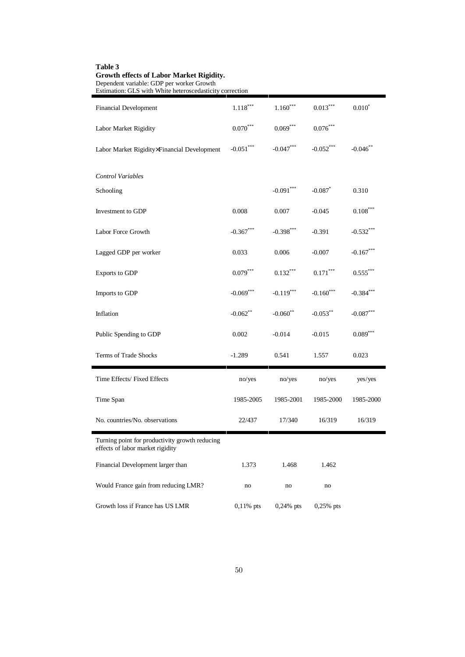| Estimation: GLS with White heteroscedasticity correction                           |              |              |                        |              |
|------------------------------------------------------------------------------------|--------------|--------------|------------------------|--------------|
| <b>Financial Development</b>                                                       | $1.118***$   | $1.160***$   | $0.013***$             | $0.010*$     |
| Labor Market Rigidity                                                              | $0.070***$   | $0.069***$   | $0.076^{\ast\ast\ast}$ |              |
| Labor Market Rigidity×Financial Development                                        | $-0.051***$  | $-0.047***$  | $-0.052***$            | $-0.046$ **  |
| Control Variables                                                                  |              |              |                        |              |
| Schooling                                                                          |              | $-0.091***$  | $-0.087$ *             | 0.310        |
| Investment to GDP                                                                  | 0.008        | 0.007        | $-0.045$               | $0.108***$   |
| Labor Force Growth                                                                 | $-0.367$ *** | $-0.398$ *** | $-0.391$               | $-0.532$ *** |
| Lagged GDP per worker                                                              | 0.033        | 0.006        | $-0.007$               | $-0.167***$  |
| Exports to GDP                                                                     | $0.079***$   | $0.132***$   | $0.171***$             | $0.555***$   |
| Imports to GDP                                                                     | $-0.069***$  | $-0.119***$  | $-0.160***$            | $-0.384***$  |
| Inflation                                                                          | $-0.062**$   | $-0.060$ **  | $-0.053***$            | $-0.087***$  |
| Public Spending to GDP                                                             | 0.002        | $-0.014$     | $-0.015$               | $0.089***$   |
| Terms of Trade Shocks                                                              | $-1.289$     | 0.541        | 1.557                  | 0.023        |
| Time Effects/Fixed Effects                                                         | no/yes       | no/yes       | no/yes                 | yes/yes      |
| Time Span                                                                          | 1985-2005    | 1985-2001    | 1985-2000              | 1985-2000    |
| No. countries/No. observations                                                     | 22/437       | 17/340       | 16/319                 | 16/319       |
| Turning point for productivity growth reducing<br>effects of labor market rigidity |              |              |                        |              |
| Financial Development larger than                                                  | 1.373        | 1.468        | 1.462                  |              |
| Would France gain from reducing LMR?                                               | no           | no           | no                     |              |
| Growth loss if France has US LMR                                                   | $0,11\%$ pts | $0,24\%$ pts | $0,25%$ pts            |              |

# **Table 3 Growth effects of Labor Market Rigidity.**

Dependent variable: GDP per worker Growth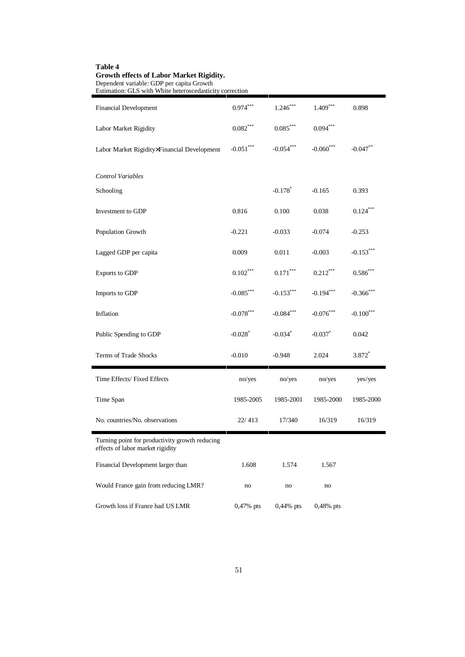| Estimation: GLS with White heteroscedasticity correction                           |                        |                        |              |               |
|------------------------------------------------------------------------------------|------------------------|------------------------|--------------|---------------|
| <b>Financial Development</b>                                                       | $0.974***$             | $1.246***$             | $1.409***$   | 0.898         |
| Labor Market Rigidity                                                              | $0.082^{\ast\ast\ast}$ | $0.085^{\ast\ast\ast}$ | $0.094***$   |               |
| Labor Market Rigidity×Financial Development                                        | $-0.051***$            | $-0.054***$            | $-0.060***$  | $-0.047**$    |
| Control Variables                                                                  |                        |                        |              |               |
| Schooling                                                                          |                        | $-0.178$ <sup>*</sup>  | $-0.165$     | 0.393         |
| Investment to GDP                                                                  | 0.816                  | 0.100                  | 0.038        | $0.124***$    |
| Population Growth                                                                  | $-0.221$               | $-0.033$               | $-0.074$     | $-0.253$      |
| Lagged GDP per capita                                                              | 0.009                  | 0.011                  | $-0.003$     | $-0.153***$   |
| Exports to GDP                                                                     | $0.102***$             | $0.171***$             | $0.212***$   | $0.586^{***}$ |
| Imports to GDP                                                                     | $-0.085***$            | $-0.153***$            | $-0.194***$  | $-0.366$ ***  |
| Inflation                                                                          | $-0.078***$            | $-0.084***$            | $-0.076$ *** | $-0.100$ ***  |
| Public Spending to GDP                                                             | $-0.028$ <sup>*</sup>  | $-0.034$ *             | $-0.037$ *   | 0.042         |
| Terms of Trade Shocks                                                              | $-0.010$               | $-0.948$               | 2.024        | 3.872*        |
| Time Effects/ Fixed Effects                                                        | no/yes                 | no/yes                 | no/yes       | yes/yes       |
| Time Span                                                                          | 1985-2005              | 1985-2001              | 1985-2000    | 1985-2000     |
| No. countries/No. observations                                                     | 22/413                 | 17/340                 | 16/319       | 16/319        |
| Turning point for productivity growth reducing<br>effects of labor market rigidity |                        |                        |              |               |
| Financial Development larger than                                                  | 1.608                  | 1.574                  | 1.567        |               |
| Would France gain from reducing LMR?                                               | no                     | no                     | no           |               |
| Growth loss if France had US LMR                                                   | $0,47\%$ pts           | $0,44\%$ pts           | $0,48\%$ pts |               |

### **Table 4 Growth effects of Labor Market Rigidity.** Dependent variable: GDP per capita Growth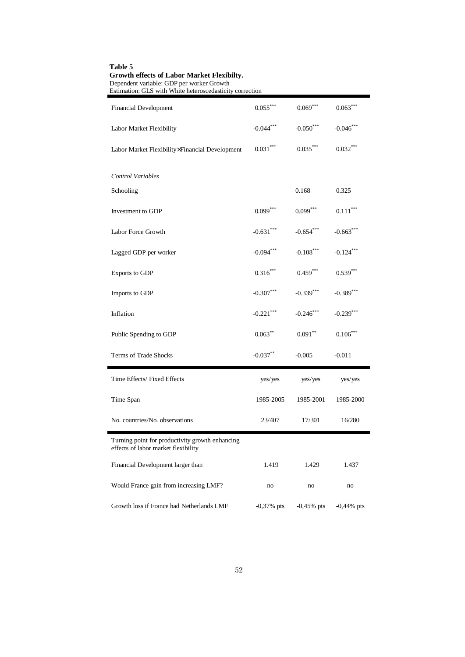| chacht variable. Opt per worker Or<br>Estimation: GLS with White heteroscedasticity correction |              |              |              |
|------------------------------------------------------------------------------------------------|--------------|--------------|--------------|
| <b>Financial Development</b>                                                                   | $0.055***$   | $0.069***$   | $0.063***$   |
| Labor Market Flexibility                                                                       | $-0.044***$  | $-0.050***$  | $-0.046$ *** |
| Labor Market Flexibility×Financial Development                                                 | $0.031***$   | $0.035***$   | $0.032***$   |
| <b>Control Variables</b>                                                                       |              |              |              |
| Schooling                                                                                      |              | 0.168        | 0.325        |
| Investment to GDP                                                                              | $0.099***$   | $0.099***$   | $0.111***$   |
| Labor Force Growth                                                                             | $-0.631***$  | $-0.654$ *** | $-0.663$ *** |
| Lagged GDP per worker                                                                          | $-0.094***$  | $-0.108***$  | $-0.124***$  |
| Exports to GDP                                                                                 | $0.316***$   | $0.459***$   | $0.539***$   |
| Imports to GDP                                                                                 | $-0.307***$  | $-0.339***$  | $-0.389$ *** |
| Inflation                                                                                      | $-0.221$ *** | $-0.246$ *** | $-0.239***$  |
| Public Spending to GDP                                                                         | $0.063**$    | $0.091**$    | $0.106***$   |
| Terms of Trade Shocks                                                                          | $-0.037***$  | $-0.005$     | $-0.011$     |
| Time Effects/ Fixed Effects                                                                    | yes/yes      | yes/yes      | yes/yes      |
| Time Span                                                                                      | 1985-2005    | 1985-2001    | 1985-2000    |
| No. countries/No. observations                                                                 | 23/407       | 17/301       | 16/280       |
| Turning point for productivity growth enhancing<br>effects of labor market flexibility         |              |              |              |
| Financial Development larger than                                                              | 1.419        | 1.429        | 1.437        |
| Would France gain from increasing LMF?                                                         | no           | no           | no           |
| Growth loss if France had Netherlands LMF                                                      | $-0,37%$ pts | $-0,45%$ pts | $-0,44%$ pts |

# **Table 5 Growth effects of Labor Market Flexibilty.** Dependent variable: GDP per worker Growth